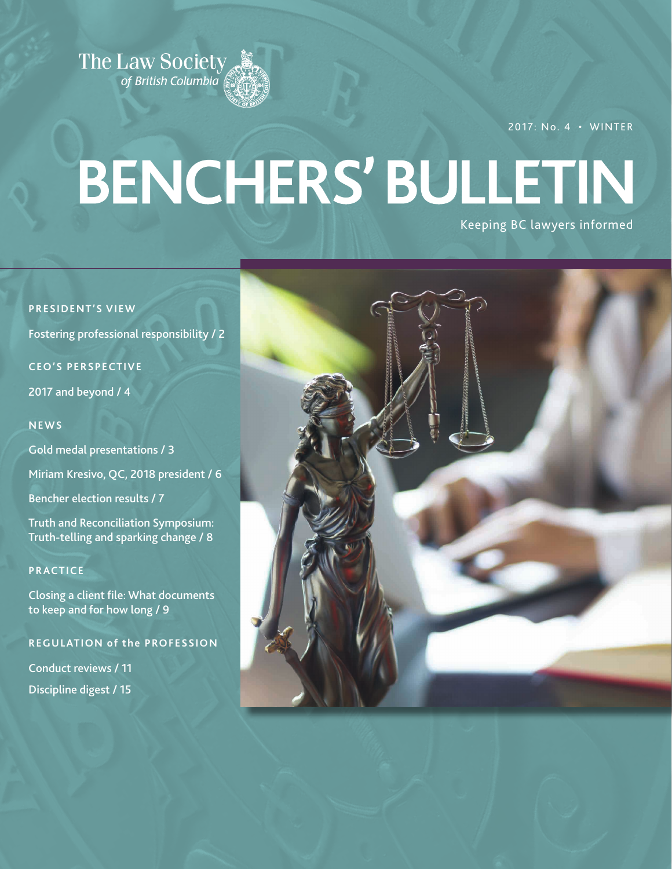

2017: No. 4 • WINTER

# **BENCHERS' BULLETIN**

Keeping BC lawyers informed

### **PRESIDENT'S VIEW**

Fostering professional responsibility / 2

### **CEO'S PERSPECTIVE**

2017 and beyond / 4

### **NEWS**

Gold medal presentations / 3

Miriam Kresivo, QC, 2018 president / 6

Bencher election results / 7

Truth and Reconciliation Symposium: Truth-telling and sparking change / 8

### **PRACTICE**

Closing a client file: What documents to keep and for how long / 9

### **REGULATION of the PROFESSION**

Conduct reviews / 11 Discipline digest / 15

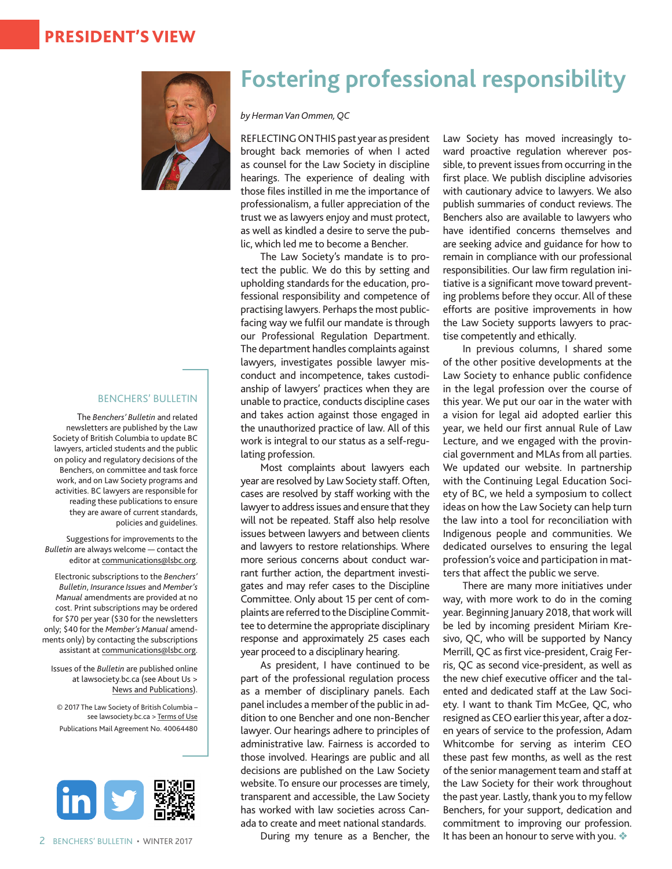### PRESIDENT'S VIEW



### BENCHERS' BULLETIN

The *Benchers' Bulletin* and related newsletters are published by the Law Society of British Columbia to update BC lawyers, articled students and the public on policy and regulatory decisions of the Benchers, on committee and task force work, and on Law Society programs and activities. BC lawyers are responsible for reading these publications to ensure they are aware of current standards, policies and guidelines.

Suggestions for improvements to the *Bulletin* are always welcome — contact the editor at [communications@lsbc.org](mailto:communications%40lsbc.org?subject=).

Electronic subscriptions to the *Benchers' Bulletin*, *Insurance Issues* and *Member's Manual* amendments are provided at no cost. Print subscriptions may be ordered for \$70 per year (\$30 for the newsletters only; \$40 for the *Member's Manual* amendments only) by contacting the subscriptions assistant at [communications@lsbc.org](mailto:communications%40lsbc.org?subject=).

Issues of the *Bulletin* are published online at lawsociety.bc.ca (see About Us > [News and Publications\)](https://www.lawsociety.bc.ca/about-us/law-society-news/).

© 2017 The Law Society of British Columbia – see lawsociety.bc.ca > [Terms of Use](https://www.lawsociety.bc.ca/terms-of-use/) Publications Mail Agreement No. 40064480



## **Fostering professional responsibility**

*by Herman Van Ommen, QC*

REFLECTING ON THIS past year as president brought back memories of when I acted as counsel for the Law Society in discipline hearings. The experience of dealing with those files instilled in me the importance of professionalism, a fuller appreciation of the trust we as lawyers enjoy and must protect, as well as kindled a desire to serve the public, which led me to become a Bencher.

The Law Society's mandate is to protect the public. We do this by setting and upholding standards for the education, professional responsibility and competence of practising lawyers. Perhaps the most publicfacing way we fulfil our mandate is through our Professional Regulation Department. The department handles complaints against lawyers, investigates possible lawyer misconduct and incompetence, takes custodianship of lawyers' practices when they are unable to practice, conducts discipline cases and takes action against those engaged in the unauthorized practice of law. All of this work is integral to our status as a self-regulating profession.

Most complaints about lawyers each year are resolved by Law Society staff. Often, cases are resolved by staff working with the lawyer to address issues and ensure that they will not be repeated. Staff also help resolve issues between lawyers and between clients and lawyers to restore relationships. Where more serious concerns about conduct warrant further action, the department investigates and may refer cases to the Discipline Committee. Only about 15 per cent of complaints are referred to the Discipline Committee to determine the appropriate disciplinary response and approximately 25 cases each year proceed to a disciplinary hearing.

As president, I have continued to be part of the professional regulation process as a member of disciplinary panels. Each panel includes a member of the public in addition to one Bencher and one non-Bencher lawyer. Our hearings adhere to principles of administrative law. Fairness is accorded to those involved. Hearings are public and all decisions are published on the Law Society website. To ensure our processes are timely, transparent and accessible, the Law Society has worked with law societies across Canada to create and meet national standards.

During my tenure as a Bencher, the

Law Society has moved increasingly toward proactive regulation wherever possible, to prevent issues from occurring in the first place. We publish discipline advisories with cautionary advice to lawyers. We also publish summaries of conduct reviews. The Benchers also are available to lawyers who have identified concerns themselves and are seeking advice and guidance for how to remain in compliance with our professional responsibilities. Our law firm regulation initiative is a significant move toward preventing problems before they occur. All of these efforts are positive improvements in how the Law Society supports lawyers to practise competently and ethically.

In previous columns, I shared some of the other positive developments at the Law Society to enhance public confidence in the legal profession over the course of this year. We put our oar in the water with a vision for legal aid adopted earlier this year, we held our first annual Rule of Law Lecture, and we engaged with the provincial government and MLAs from all parties. We updated our website. In partnership with the Continuing Legal Education Society of BC, we held a symposium to collect ideas on how the Law Society can help turn the law into a tool for reconciliation with Indigenous people and communities. We dedicated ourselves to ensuring the legal profession's voice and participation in matters that affect the public we serve.

There are many more initiatives under way, with more work to do in the coming year. Beginning January 2018, that work will be led by incoming president Miriam Kresivo, QC, who will be supported by Nancy Merrill, QC as first vice-president, Craig Ferris, QC as second vice-president, as well as the new chief executive officer and the talented and dedicated staff at the Law Society. I want to thank Tim McGee, QC, who resigned as CEO earlier this year, after a dozen years of service to the profession, Adam Whitcombe for serving as interim CEO these past few months, as well as the rest of the senior management team and staff at the Law Society for their work throughout the past year. Lastly, thank you to my fellow Benchers, for your support, dedication and commitment to improving our profession. It has been an honour to serve with you.  $\clubsuit$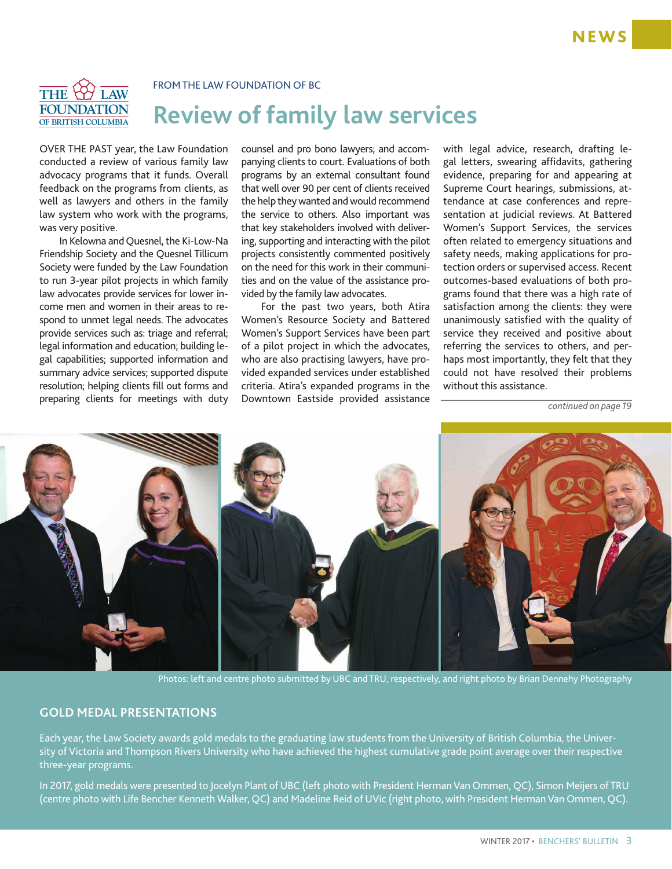### THE Y FOUNDATION OF BRITISH COLUMBIA

FROM THE LAW FOUNDATION OF BC

# **Review of family law services**

OVER THE PAST year, the Law Foundation conducted a review of various family law advocacy programs that it funds. Overall feedback on the programs from clients, as well as lawyers and others in the family law system who work with the programs, was very positive.

In Kelowna and Quesnel, the Ki-Low-Na Friendship Society and the Quesnel Tillicum Society were funded by the Law Foundation to run 3-year pilot projects in which family law advocates provide services for lower income men and women in their areas to respond to unmet legal needs. The advocates provide services such as: triage and referral; legal information and education; building legal capabilities; supported information and summary advice services; supported dispute resolution; helping clients fill out forms and preparing clients for meetings with duty

counsel and pro bono lawyers; and accompanying clients to court. Evaluations of both programs by an external consultant found that well over 90 per cent of clients received the help they wanted and would recommend the service to others. Also important was that key stakeholders involved with delivering, supporting and interacting with the pilot projects consistently commented positively on the need for this work in their communities and on the value of the assistance provided by the family law advocates.

For the past two years, both Atira Women's Resource Society and Battered Women's Support Services have been part of a pilot project in which the advocates, who are also practising lawyers, have provided expanded services under established criteria. Atira's expanded programs in the Downtown Eastside provided assistance with legal advice, research, drafting legal letters, swearing affidavits, gathering evidence, preparing for and appearing at Supreme Court hearings, submissions, attendance at case conferences and representation at judicial reviews. At Battered Women's Support Services, the services often related to emergency situations and safety needs, making applications for protection orders or supervised access. Recent outcomes-based evaluations of both programs found that there was a high rate of satisfaction among the clients: they were unanimously satisfied with the quality of service they received and positive about referring the services to others, and perhaps most importantly, they felt that they could not have resolved their problems without this assistance.

*continued on page 19*



Photos: left and centre photo submitted by UBC and TRU, respectively, and right photo by Brian Dennehy Photography

### **GOLD MEDAL PRESENTATIONS**

Each year, the Law Society awards gold medals to the graduating law students from the University of British Columbia, the University of Victoria and Thompson Rivers University who have achieved the highest cumulative grade point average over their respective three-year programs.

In 2017, gold medals were presented to Jocelyn Plant of UBC (left photo with President Herman Van Ommen, QC), Simon Meijers of TRU (centre photo with Life Bencher Kenneth Walker, QC) and Madeline Reid of UVic (right photo, with President Herman Van Ommen, QC).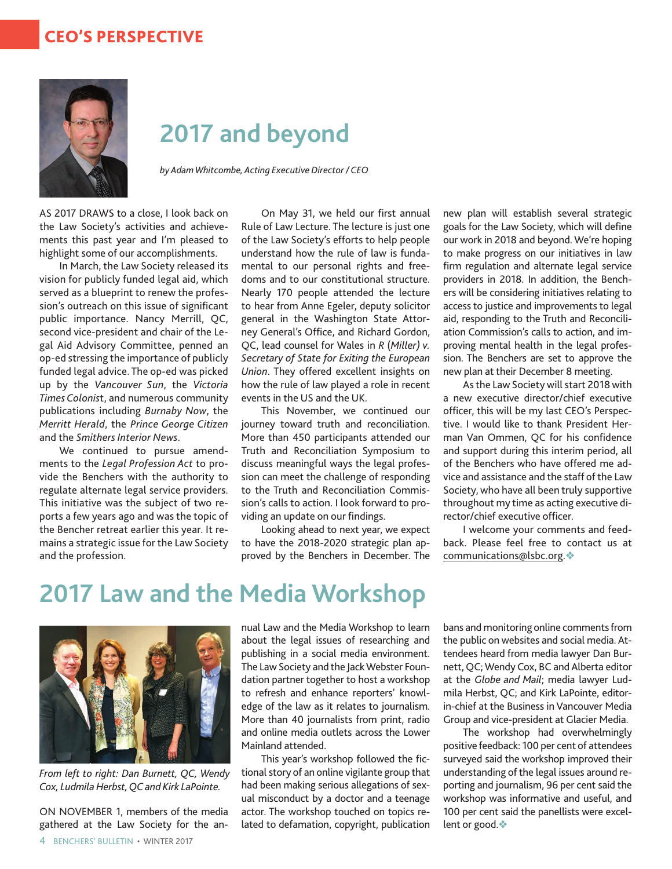### CEO'S PERSPECTIVE



# **2017 and beyond**

*by Adam Whitcombe, Acting Executive Director/CEO*

AS 2017 DRAWS to a close, I look back on the Law Society's activities and achievements this past year and I'm pleased to highlight some of our accomplishments.

In March, the Law Society released its vision for publicly funded legal aid, which served as a blueprint to renew the profession's outreach on this issue of significant public importance. Nancy Merrill, QC, second vice-president and chair of the Legal Aid Advisory Committee, penned an op-ed stressing the importance of publicly funded legal advice. The op-ed was picked up by the *Vancouver Sun*, the *Victoria Times Colonis*t, and numerous community publications including *Burnaby Now*, the *Merritt Herald*, the *Prince George Citizen* and the *Smithers Interior News*.

We continued to pursue amendments to the *Legal Profession Act* to provide the Benchers with the authority to regulate alternate legal service providers. This initiative was the subject of two reports a few years ago and was the topic of the Bencher retreat earlier this year. It remains a strategic issue for the Law Society and the profession.

On May 31, we held our first annual Rule of Law Lecture. The lecture is just one of the Law Society's efforts to help people understand how the rule of law is fundamental to our personal rights and freedoms and to our constitutional structure. Nearly 170 people attended the lecture to hear from Anne Egeler, deputy solicitor general in the Washington State Attorney General's Office, and Richard Gordon, QC, lead counsel for Wales in *R* (*Miller) v. Secretary of State for Exiting the European Union*. They offered excellent insights on how the rule of law played a role in recent events in the US and the UK.

This November, we continued our journey toward truth and reconciliation. More than 450 participants attended our Truth and Reconciliation Symposium to discuss meaningful ways the legal profession can meet the challenge of responding to the Truth and Reconciliation Commission's calls to action. I look forward to providing an update on our findings.

Looking ahead to next year, we expect to have the 2018-2020 strategic plan approved by the Benchers in December. The new plan will establish several strategic goals for the Law Society, which will define our work in 2018 and beyond. We're hoping to make progress on our initiatives in law firm regulation and alternate legal service providers in 2018. In addition, the Benchers will be considering initiatives relating to access to justice and improvements to legal aid, responding to the Truth and Reconciliation Commission's calls to action, and improving mental health in the legal profession. The Benchers are set to approve the new plan at their December 8 meeting.

As the Law Society will start 2018 with a new executive director/chief executive officer, this will be my last CEO's Perspective. I would like to thank President Herman Van Ommen, QC for his confidence and support during this interim period, all of the Benchers who have offered me advice and assistance and the staff of the Law Society, who have all been truly supportive throughout my time as acting executive director/chief executive officer.

I welcome your comments and feedback. Please feel free to contact us at [communications@lsbc.org](mailto:communications@lsbc.org).

# **2017 Law and the Media Workshop**



*From left to right: Dan Burnett, QC, Wendy Cox, Ludmila Herbst, QC and Kirk LaPointe.*

4 BENCHERS' BULLETIN • WINTER 2017 ON NOVEMBER 1, members of the media gathered at the Law Society for the annual Law and the Media Workshop to learn about the legal issues of researching and publishing in a social media environment. The Law Society and the Jack Webster Foundation partner together to host a workshop to refresh and enhance reporters' knowledge of the law as it relates to journalism. More than 40 journalists from print, radio and online media outlets across the Lower Mainland attended.

This year's workshop followed the fictional story of an online vigilante group that had been making serious allegations of sexual misconduct by a doctor and a teenage actor. The workshop touched on topics related to defamation, copyright, publication

bans and monitoring online comments from the public on websites and social media. Attendees heard from media lawyer Dan Burnett, QC; Wendy Cox, BC and Alberta editor at the *Globe and Mail*; media lawyer Ludmila Herbst, QC; and Kirk LaPointe, editorin-chief at the Business in Vancouver Media Group and vice-president at Glacier Media.

The workshop had overwhelmingly positive feedback: 100 per cent of attendees surveyed said the workshop improved their understanding of the legal issues around reporting and journalism, 96 per cent said the workshop was informative and useful, and 100 per cent said the panellists were excellent or good. $\clubsuit$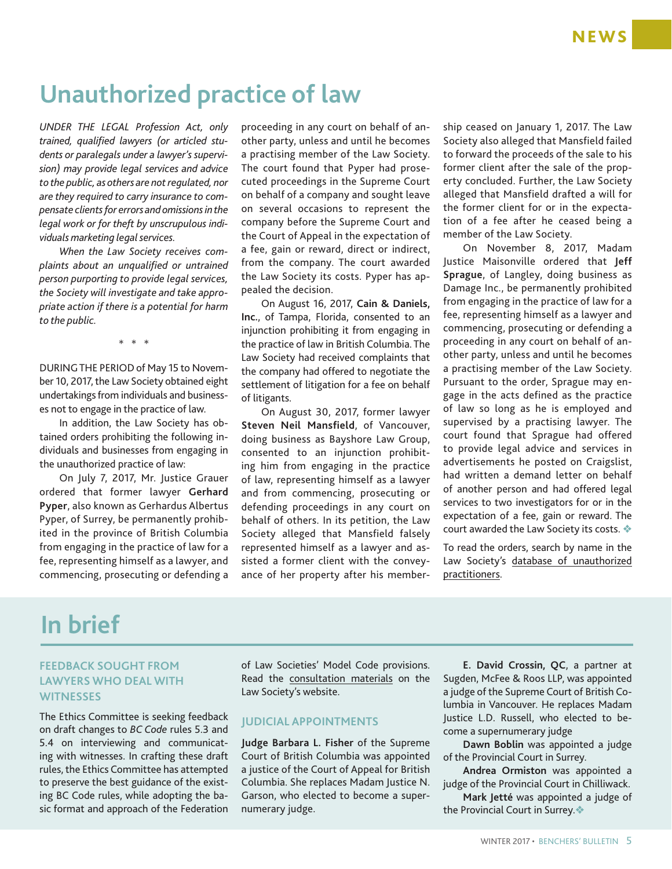# **Unauthorized practice of law**

*UNDER THE LEGAL Profession Act, only trained, qualified lawyers (or articled students or paralegals under a lawyer's supervision) may provide legal services and advice to the public, as others are not regulated, nor are they required to carry insurance to compensate clients for errors and omissions in the legal work or for theft by unscrupulous individuals marketing legal services.*

*When the Law Society receives complaints about an unqualified or untrained person purporting to provide legal services, the Society will investigate and take appropriate action if there is a potential for harm to the public.* 

\* \* \*

DURING THE PERIOD of May 15 to November 10, 2017, the Law Society obtained eight undertakings from individuals and businesses not to engage in the practice of law.

In addition, the Law Society has obtained orders prohibiting the following individuals and businesses from engaging in the unauthorized practice of law:

On July 7, 2017, Mr. Justice Grauer ordered that former lawyer **Gerhard Pyper**, also known as Gerhardus Albertus Pyper, of Surrey, be permanently prohibited in the province of British Columbia from engaging in the practice of law for a fee, representing himself as a lawyer, and commencing, prosecuting or defending a

proceeding in any court on behalf of another party, unless and until he becomes a practising member of the Law Society. The court found that Pyper had prosecuted proceedings in the Supreme Court on behalf of a company and sought leave on several occasions to represent the company before the Supreme Court and the Court of Appeal in the expectation of a fee, gain or reward, direct or indirect, from the company. The court awarded the Law Society its costs. Pyper has appealed the decision.

On August 16, 2017, **Cain & Daniels, Inc.**, of Tampa, Florida, consented to an injunction prohibiting it from engaging in the practice of law in British Columbia. The Law Society had received complaints that the company had offered to negotiate the settlement of litigation for a fee on behalf of litigants.

On August 30, 2017, former lawyer **Steven Neil Mansfield**, of Vancouver, doing business as Bayshore Law Group, consented to an injunction prohibiting him from engaging in the practice of law, representing himself as a lawyer and from commencing, prosecuting or defending proceedings in any court on behalf of others. In its petition, the Law Society alleged that Mansfield falsely represented himself as a lawyer and assisted a former client with the conveyance of her property after his membership ceased on January 1, 2017. The Law Society also alleged that Mansfield failed to forward the proceeds of the sale to his former client after the sale of the property concluded. Further, the Law Society alleged that Mansfield drafted a will for the former client for or in the expectation of a fee after he ceased being a member of the Law Society.

On November 8, 2017, Madam Justice Maisonville ordered that **Jeff Sprague**, of Langley, doing business as Damage Inc., be permanently prohibited from engaging in the practice of law for a fee, representing himself as a lawyer and commencing, prosecuting or defending a proceeding in any court on behalf of another party, unless and until he becomes a practising member of the Law Society. Pursuant to the order, Sprague may engage in the acts defined as the practice of law so long as he is employed and supervised by a practising lawyer. The court found that Sprague had offered to provide legal advice and services in advertisements he posted on Craigslist, had written a demand letter on behalf of another person and had offered legal services to two investigators for or in the expectation of a fee, gain or reward. The court awarded the Law Society its costs.  $\triangle$ 

To read the orders, search by name in the Law Society's [database of unauthorized](https://www.lawsociety.bc.ca/lsbc/apps/lkup/uap-search.cfm) [practitioners.](https://www.lawsociety.bc.ca/lsbc/apps/lkup/uap-search.cfm)

# **In brief**

### **FEEDBACK SOUGHT FROM LAWYERS WHO DEAL WITH WITNESSES**

The Ethics Committee is seeking feedback on draft changes to *BC Code* rules 5.3 and 5.4 on interviewing and communicating with witnesses. In crafting these draft rules, the Ethics Committee has attempted to preserve the best guidance of the existing BC Code rules, while adopting the basic format and approach of the Federation

of Law Societies' Model Code provisions. Read the [consultation materials](https://www.lawsociety.bc.ca/Website/media/Shared/docs/newsroom/highlights/Consultation-witnesses.pdf) on the Law Society's website.

### **JUDICIAL APPOINTMENTS**

**Judge Barbara L. Fisher** of the Supreme Court of British Columbia was appointed a justice of the Court of Appeal for British Columbia. She replaces Madam Justice N. Garson, who elected to become a supernumerary judge.

**E. David Crossin, QC**, a partner at Sugden, McFee & Roos LLP, was appointed a judge of the Supreme Court of British Columbia in Vancouver. He replaces Madam Justice L.D. Russell, who elected to become a supernumerary judge

**Dawn Boblin** was appointed a judge of the Provincial Court in Surrey.

**Andrea Ormiston** was appointed a judge of the Provincial Court in Chilliwack.

**Mark Jetté** was appointed a judge of the Provincial Court in Surrey. $\triangle$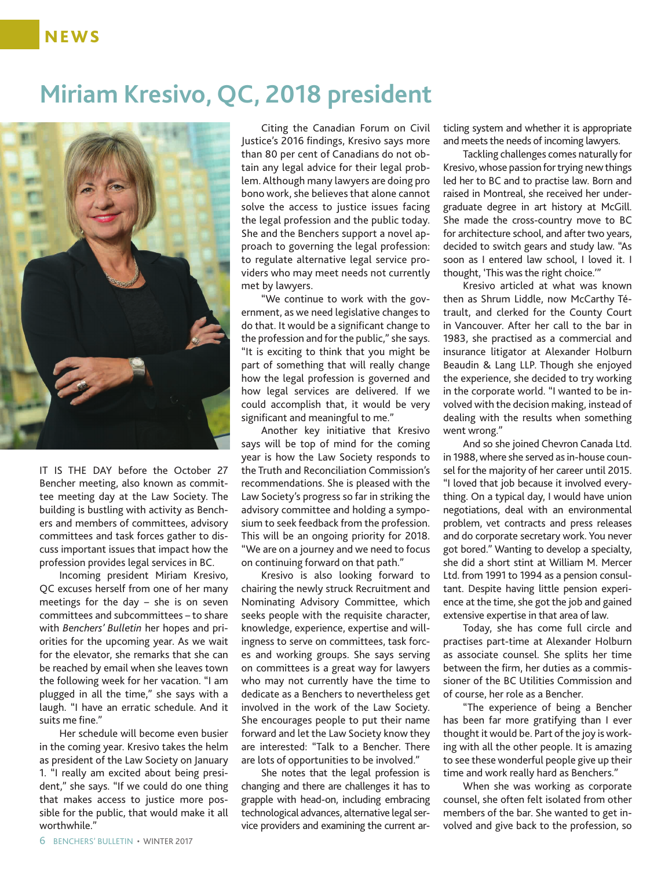### **NEWS**

# **Miriam Kresivo, QC, 2018 president**



IT IS THE DAY before the October 27 Bencher meeting, also known as committee meeting day at the Law Society. The building is bustling with activity as Benchers and members of committees, advisory committees and task forces gather to discuss important issues that impact how the profession provides legal services in BC.

Incoming president Miriam Kresivo, QC excuses herself from one of her many meetings for the day – she is on seven committees and subcommittees – to share with *Benchers' Bulletin* her hopes and priorities for the upcoming year. As we wait for the elevator, she remarks that she can be reached by email when she leaves town the following week for her vacation. "I am plugged in all the time," she says with a laugh. "I have an erratic schedule. And it suits me fine."

Her schedule will become even busier in the coming year. Kresivo takes the helm as president of the Law Society on January 1. "I really am excited about being president," she says. "If we could do one thing that makes access to justice more possible for the public, that would make it all worthwhile."

Citing the Canadian Forum on Civil Justice's 2016 findings, Kresivo says more than 80 per cent of Canadians do not obtain any legal advice for their legal problem. Although many lawyers are doing pro bono work, she believes that alone cannot solve the access to justice issues facing the legal profession and the public today. She and the Benchers support a novel approach to governing the legal profession: to regulate alternative legal service providers who may meet needs not currently met by lawyers.

"We continue to work with the government, as we need legislative changes to do that. It would be a significant change to the profession and for the public," she says. "It is exciting to think that you might be part of something that will really change how the legal profession is governed and how legal services are delivered. If we could accomplish that, it would be very significant and meaningful to me."

Another key initiative that Kresivo says will be top of mind for the coming year is how the Law Society responds to the Truth and Reconciliation Commission's recommendations. She is pleased with the Law Society's progress so far in striking the advisory committee and holding a symposium to seek feedback from the profession. This will be an ongoing priority for 2018. "We are on a journey and we need to focus on continuing forward on that path."

Kresivo is also looking forward to chairing the newly struck Recruitment and Nominating Advisory Committee, which seeks people with the requisite character, knowledge, experience, expertise and willingness to serve on committees, task forces and working groups. She says serving on committees is a great way for lawyers who may not currently have the time to dedicate as a Benchers to nevertheless get involved in the work of the Law Society. She encourages people to put their name forward and let the Law Society know they are interested: "Talk to a Bencher. There are lots of opportunities to be involved."

She notes that the legal profession is changing and there are challenges it has to grapple with head-on, including embracing technological advances, alternative legal service providers and examining the current articling system and whether it is appropriate and meets the needs of incoming lawyers.

Tackling challenges comes naturally for Kresivo, whose passion for trying new things led her to BC and to practise law. Born and raised in Montreal, she received her undergraduate degree in art history at McGill. She made the cross-country move to BC for architecture school, and after two years, decided to switch gears and study law. "As soon as I entered law school, I loved it. I thought, 'This was the right choice.'"

Kresivo articled at what was known then as Shrum Liddle, now McCarthy Tétrault, and clerked for the County Court in Vancouver. After her call to the bar in 1983, she practised as a commercial and insurance litigator at Alexander Holburn Beaudin & Lang LLP. Though she enjoyed the experience, she decided to try working in the corporate world. "I wanted to be involved with the decision making, instead of dealing with the results when something went wrong."

And so she joined Chevron Canada Ltd. in 1988, where she served as in-house counsel for the majority of her career until 2015. "I loved that job because it involved everything. On a typical day, I would have union negotiations, deal with an environmental problem, vet contracts and press releases and do corporate secretary work. You never got bored." Wanting to develop a specialty, she did a short stint at William M. Mercer Ltd. from 1991 to 1994 as a pension consultant. Despite having little pension experience at the time, she got the job and gained extensive expertise in that area of law.

Today, she has come full circle and practises part-time at Alexander Holburn as associate counsel. She splits her time between the firm, her duties as a commissioner of the BC Utilities Commission and of course, her role as a Bencher.

"The experience of being a Bencher has been far more gratifying than I ever thought it would be. Part of the joy is working with all the other people. It is amazing to see these wonderful people give up their time and work really hard as Benchers."

When she was working as corporate counsel, she often felt isolated from other members of the bar. She wanted to get involved and give back to the profession, so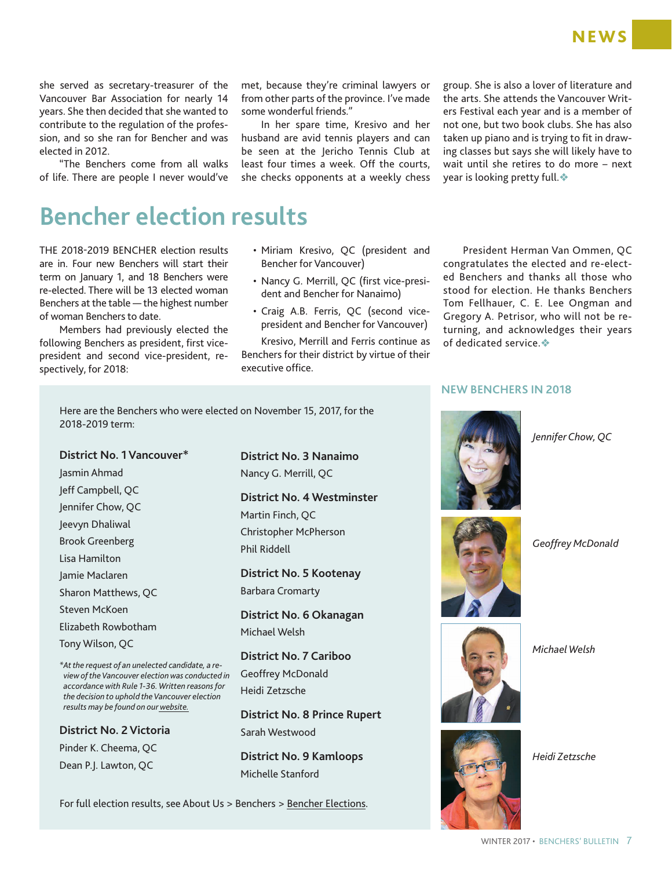she served as secretary-treasurer of the Vancouver Bar Association for nearly 14 years. She then decided that she wanted to contribute to the regulation of the profession, and so she ran for Bencher and was elected in 2012.

"The Benchers come from all walks of life. There are people I never would've met, because they're criminal lawyers or from other parts of the province. I've made some wonderful friends."

In her spare time, Kresivo and her husband are avid tennis players and can be seen at the Jericho Tennis Club at least four times a week. Off the courts, she checks opponents at a weekly chess group. She is also a lover of literature and the arts. She attends the Vancouver Writers Festival each year and is a member of not one, but two book clubs. She has also taken up piano and is trying to fit in drawing classes but says she will likely have to wait until she retires to do more – next year is looking pretty full. $\clubsuit$ 

# **Bencher election results**

THE 2018-2019 BENCHER election results are in. Four new Benchers will start their term on January 1, and 18 Benchers were re-elected. There will be 13 elected woman Benchers at the table — the highest number of woman Benchers to date.

Members had previously elected the following Benchers as president, first vicepresident and second vice-president, respectively, for 2018:

2018-2019 term:

Jasmin Ahmad Jeff Campbell, QC Jennifer Chow, QC Jeevyn Dhaliwal Brook Greenberg Lisa Hamilton Jamie Maclaren

Sharon Matthews, QC Steven McKoen

Elizabeth Rowbotham

**District No. 2 Victoria** Pinder K. Cheema, QC Dean P.J. Lawton, QC

*\*At the request of an unelected candidate, a review of the Vancouver election was conducted in accordance with Rule 1-36. Written reasons for the decision to uphold the Vancouver election results may be found on our[website](https://www.lawsociety.bc.ca/Website/media/Shared/docs/about/2017Bencherelection-reviewreasons.pdf).*

Tony Wilson, QC

- Miriam Kresivo, QC (president and Bencher for Vancouver)
- Nancy G. Merrill, QC (first vice-president and Bencher for Nanaimo)
- Craig A.B. Ferris, QC (second vicepresident and Bencher for Vancouver)

Kresivo, Merrill and Ferris continue as Benchers for their district by virtue of their executive office.

President Herman Van Ommen, QC congratulates the elected and re-elected Benchers and thanks all those who stood for election. He thanks Benchers Tom Fellhauer, C. E. Lee Ongman and Gregory A. Petrisor, who will not be returning, and acknowledges their years of dedicated service. $\clubsuit$ 

### **NEW BENCHERS IN 2018**



*Jennifer Chow, QC*



Here are the Benchers who were elected on November 15, 2017, for the

**District No. 4 Westminster** Martin Finch, QC Christopher McPherson Phil Riddell

**District No. 5 Kootenay**  Barbara Cromarty

**District No. 6 Okanagan** Michael Welsh

**District No. 7 Cariboo**  Geoffrey McDonald Heidi Zetzsche

**District No. 8 Prince Rupert** Sarah Westwood

**District No. 9 Kamloops**  Michelle Stanford

For full election results, see About Us > Benchers > [Bencher Elections](https://www.lawsociety.bc.ca/about-us/benchers/bencher-elections/).



*Geoffrey McDonald*



*Michael Welsh*



*Heidi Zetzsche*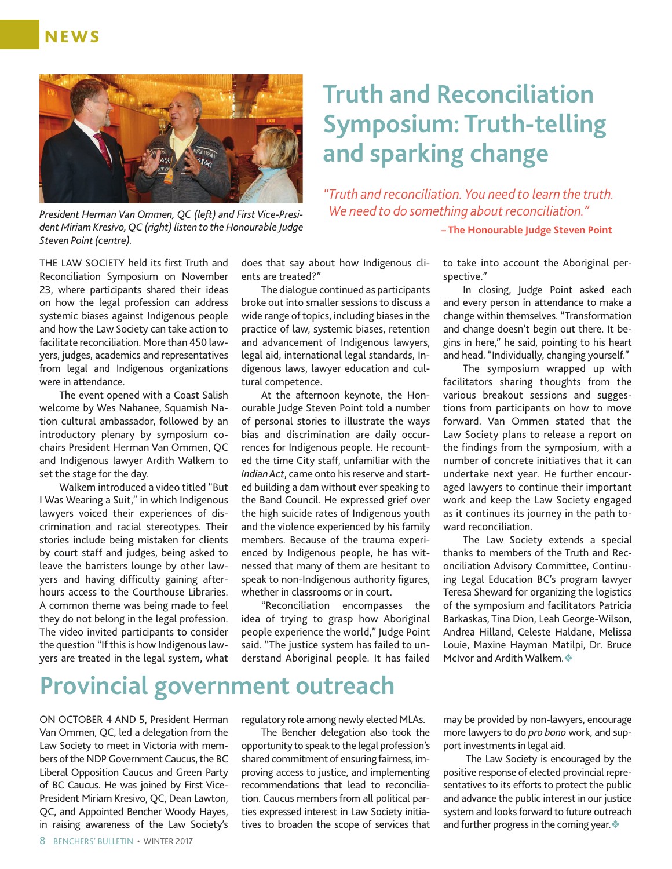

*President Herman Van Ommen, QC (left) and First Vice-President Miriam Kresivo, QC (right) listen to the Honourable Judge Steven Point (centre).*

### THE LAW SOCIETY held its first Truth and Reconciliation Symposium on November 23, where participants shared their ideas on how the legal profession can address systemic biases against Indigenous people and how the Law Society can take action to facilitate reconciliation. More than 450 lawyers, judges, academics and representatives from legal and Indigenous organizations were in attendance.

The event opened with a Coast Salish welcome by Wes Nahanee, Squamish Nation cultural ambassador, followed by an introductory plenary by symposium cochairs President Herman Van Ommen, QC and Indigenous lawyer Ardith Walkem to set the stage for the day.

Walkem introduced a video titled "But I Was Wearing a Suit," in which Indigenous lawyers voiced their experiences of discrimination and racial stereotypes. Their stories include being mistaken for clients by court staff and judges, being asked to leave the barristers lounge by other lawyers and having difficulty gaining afterhours access to the Courthouse Libraries. A common theme was being made to feel they do not belong in the legal profession. The video invited participants to consider the question "If this is how Indigenous lawyers are treated in the legal system, what

does that say about how Indigenous clients are treated?"

The dialogue continued as participants broke out into smaller sessions to discuss a wide range of topics, including biases in the practice of law, systemic biases, retention and advancement of Indigenous lawyers, legal aid, international legal standards, Indigenous laws, lawyer education and cultural competence.

At the afternoon keynote, the Honourable Judge Steven Point told a number of personal stories to illustrate the ways bias and discrimination are daily occurrences for Indigenous people. He recounted the time City staff, unfamiliar with the *Indian Act*, came onto his reserve and started building a dam without ever speaking to the Band Council. He expressed grief over the high suicide rates of Indigenous youth and the violence experienced by his family members. Because of the trauma experienced by Indigenous people, he has witnessed that many of them are hesitant to speak to non-Indigenous authority figures, whether in classrooms or in court.

"Reconciliation encompasses the idea of trying to grasp how Aboriginal people experience the world," Judge Point said. "The justice system has failed to understand Aboriginal people. It has failed

# **Truth and Reconciliation Symposium: Truth-telling and sparking change**

*"Truth and reconciliation. You need to learn the truth. We need to do something about reconciliation."*

**– The Honourable Judge Steven Point**

to take into account the Aboriginal perspective."

In closing, Judge Point asked each and every person in attendance to make a change within themselves. "Transformation and change doesn't begin out there. It begins in here," he said, pointing to his heart and head. "Individually, changing yourself."

The symposium wrapped up with facilitators sharing thoughts from the various breakout sessions and suggestions from participants on how to move forward. Van Ommen stated that the Law Society plans to release a report on the findings from the symposium, with a number of concrete initiatives that it can undertake next year. He further encouraged lawyers to continue their important work and keep the Law Society engaged as it continues its journey in the path toward reconciliation.

The Law Society extends a special thanks to members of the Truth and Reconciliation Advisory Committee, Continuing Legal Education BC's program lawyer Teresa Sheward for organizing the logistics of the symposium and facilitators Patricia Barkaskas, Tina Dion, Leah George-Wilson, Andrea Hilland, Celeste Haldane, Melissa Louie, Maxine Hayman Matilpi, Dr. Bruce McIvor and Ardith Walkem. $\clubsuit$ 

# **Provincial government outreach**

ON OCTOBER 4 AND 5, President Herman Van Ommen, QC, led a delegation from the Law Society to meet in Victoria with members of the NDP Government Caucus, the BC Liberal Opposition Caucus and Green Party of BC Caucus. He was joined by First Vice-President Miriam Kresivo, QC, Dean Lawton, QC, and Appointed Bencher Woody Hayes, in raising awareness of the Law Society's regulatory role among newly elected MLAs.

The Bencher delegation also took the opportunity to speak to the legal profession's shared commitment of ensuring fairness, improving access to justice, and implementing recommendations that lead to reconciliation. Caucus members from all political parties expressed interest in Law Society initiatives to broaden the scope of services that may be provided by non-lawyers, encourage more lawyers to do *pro bono* work, and support investments in legal aid.

 The Law Society is encouraged by the positive response of elected provincial representatives to its efforts to protect the public and advance the public interest in our justice system and looks forward to future outreach and further progress in the coming year. $\diamondsuit$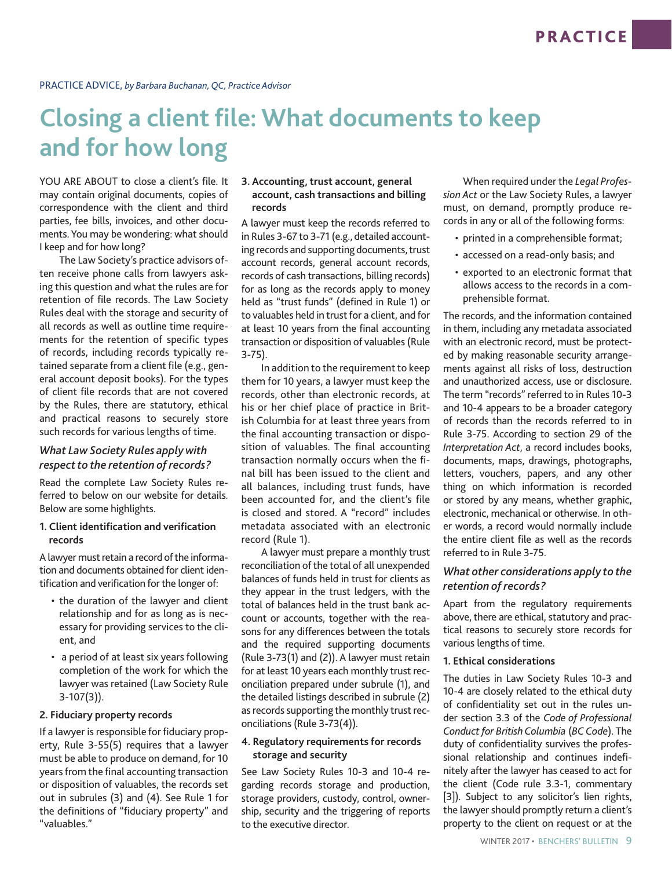# **Closing a client file: What documents to keep and for how long**

YOU ARE ABOUT to close a client's file. It may contain original documents, copies of correspondence with the client and third parties, fee bills, invoices, and other documents. You may be wondering: what should I keep and for how long?

The Law Society's practice advisors often receive phone calls from lawyers asking this question and what the rules are for retention of file records. The Law Society Rules deal with the storage and security of all records as well as outline time requirements for the retention of specific types of records, including records typically retained separate from a client file (e.g., general account deposit books). For the types of client file records that are not covered by the Rules, there are statutory, ethical and practical reasons to securely store such records for various lengths of time.

### *What Law Society Rules apply with respect to the retention of records?*

Read the complete Law Society Rules referred to below on our website for details. Below are some highlights.

### **1. Client identification and verification records**

A lawyer must retain a record of the information and documents obtained for client identification and verification for the longer of:

- the duration of the lawyer and client relationship and for as long as is necessary for providing services to the client, and
- a period of at least six years following completion of the work for which the lawyer was retained (Law Society Rule 3-107(3)).

#### **2. Fiduciary property records**

If a lawyer is responsible for fiduciary property, Rule 3-55(5) requires that a lawyer must be able to produce on demand, for 10 years from the final accounting transaction or disposition of valuables, the records set out in subrules (3) and (4). See Rule 1 for the definitions of "fiduciary property" and "valuables."

#### **3. Accounting, trust account, general account, cash transactions and billing records**

A lawyer must keep the records referred to in Rules 3-67 to 3-71 (e.g., detailed accounting records and supporting documents, trust account records, general account records, records of cash transactions, billing records) for as long as the records apply to money held as "trust funds" (defined in Rule 1) or to valuables held in trust for a client, and for at least 10 years from the final accounting transaction or disposition of valuables (Rule 3-75).

In addition to the requirement to keep them for 10 years, a lawyer must keep the records, other than electronic records, at his or her chief place of practice in British Columbia for at least three years from the final accounting transaction or disposition of valuables. The final accounting transaction normally occurs when the final bill has been issued to the client and all balances, including trust funds, have been accounted for, and the client's file is closed and stored. A "record" includes metadata associated with an electronic record (Rule 1).

A lawyer must prepare a monthly trust reconciliation of the total of all unexpended balances of funds held in trust for clients as they appear in the trust ledgers, with the total of balances held in the trust bank account or accounts, together with the reasons for any differences between the totals and the required supporting documents (Rule 3-73(1) and (2)). A lawyer must retain for at least 10 years each monthly trust reconciliation prepared under subrule (1), and the detailed listings described in subrule (2) as records supporting the monthly trust reconciliations (Rule 3-73(4)).

### **4. Regulatory requirements for records storage and security**

See Law Society Rules 10-3 and 10-4 regarding records storage and production, storage providers, custody, control, ownership, security and the triggering of reports to the executive director.

When required under the *Legal Profession Act* or the Law Society Rules, a lawyer must, on demand, promptly produce records in any or all of the following forms:

- printed in a comprehensible format;
- accessed on a read-only basis; and
- exported to an electronic format that allows access to the records in a comprehensible format.

The records, and the information contained in them, including any metadata associated with an electronic record, must be protected by making reasonable security arrangements against all risks of loss, destruction and unauthorized access, use or disclosure. The term "records" referred to in Rules 10-3 and 10-4 appears to be a broader category of records than the records referred to in Rule 3-75. According to section 29 of the *Interpretation Act*, a record includes books, documents, maps, drawings, photographs, letters, vouchers, papers, and any other thing on which information is recorded or stored by any means, whether graphic, electronic, mechanical or otherwise. In other words, a record would normally include the entire client file as well as the records referred to in Rule 3-75.

### *What other considerations apply to the retention of records?*

Apart from the regulatory requirements above, there are ethical, statutory and practical reasons to securely store records for various lengths of time.

#### **1. Ethical considerations**

The duties in Law Society Rules 10-3 and 10-4 are closely related to the ethical duty of confidentiality set out in the rules under section 3.3 of the *Code of Professional Conduct for British Columbia* (*BC Code*). The duty of confidentiality survives the professional relationship and continues indefinitely after the lawyer has ceased to act for the client (Code rule 3.3-1, commentary [3]). Subject to any solicitor's lien rights, the lawyer should promptly return a client's property to the client on request or at the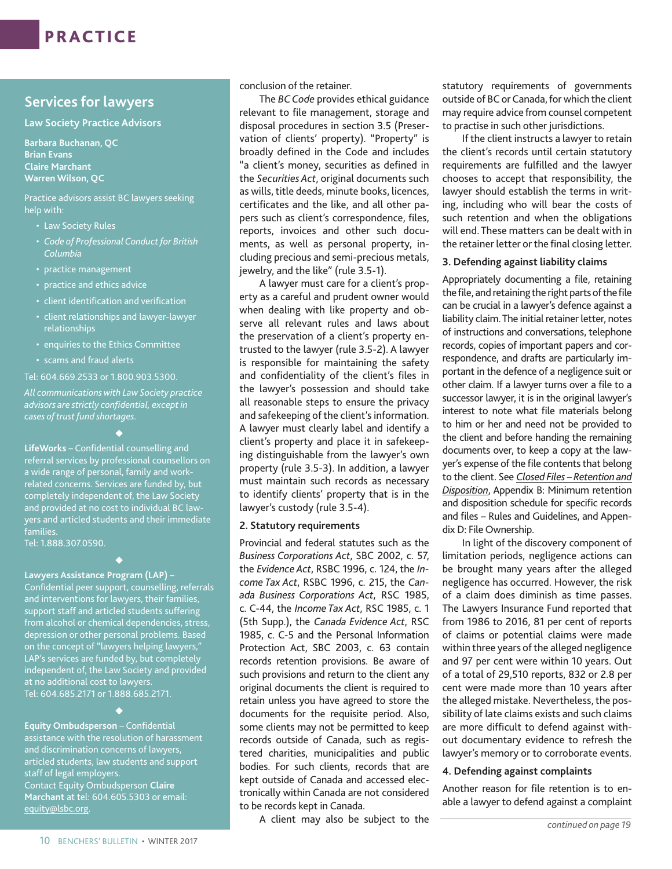### **Services for lawyers**

**Law Society Practice Advisors**

**Barbara Buchanan, QC Brian Evans Claire Marchant Warren Wilson, QC** 

Practice advisors assist BC lawyers seeking help with:

- Law Society Rules
- *• Code of Professional Conduct for British Columbia*
- practice management
- practice and ethics advice
- client identification and verification
- client relationships and lawyer-lawyer relationships
- enquiries to the Ethics Committee
- scams and fraud alerts

Tel: 604.669.2533 or 1.800.903.5300.

*All communications with Law Society practice advisors are strictly confidential, except in cases of trust fund shortages.* 

 $\blacklozenge$ 

**LifeWorks** – Confidential counselling and referral services by professional counsellors on a wide range of personal, family and workrelated concerns. Services are funded by, but completely independent of, the Law Society and provided at no cost to individual BC lawyers and articled students and their immediate families.

٠

Tel: 1.888.307.0590.

### **Lawyers Assistance Program (LAP)** –

Confidential peer support, counselling, referrals and interventions for lawyers, their families, support staff and articled students suffering from alcohol or chemical dependencies, stress, depression or other personal problems. Based on the concept of "lawyers helping lawyers," LAP's services are funded by, but completely independent of, the Law Society and provided at no additional cost to lawyers. Tel: 604.685.2171 or 1.888.685.2171.

 $\blacklozenge$ 

**Equity Ombudsperson** – Confidential assistance with the resolution of harassment and discrimination concerns of lawyers, articled students, law students and support staff of legal employers. Contact Equity Ombudsperson **Claire Marchant** at tel: 604.605.5303 or email: [equity@lsbc.org.](mailto:equity@lsbc.org)

conclusion of the retainer.

The *BC Code* provides ethical guidance relevant to file management, storage and disposal procedures in section 3.5 (Preservation of clients' property). "Property" is broadly defined in the Code and includes "a client's money, securities as defined in the *Securities Act*, original documents such as wills, title deeds, minute books, licences, certificates and the like, and all other papers such as client's correspondence, files, reports, invoices and other such documents, as well as personal property, including precious and semi-precious metals, jewelry, and the like" (rule 3.5-1).

A lawyer must care for a client's property as a careful and prudent owner would when dealing with like property and observe all relevant rules and laws about the preservation of a client's property entrusted to the lawyer (rule 3.5-2). A lawyer is responsible for maintaining the safety and confidentiality of the client's files in the lawyer's possession and should take all reasonable steps to ensure the privacy and safekeeping of the client's information. A lawyer must clearly label and identify a client's property and place it in safekeeping distinguishable from the lawyer's own property (rule 3.5-3). In addition, a lawyer must maintain such records as necessary to identify clients' property that is in the lawyer's custody (rule 3.5-4).

### **2. Statutory requirements**

Provincial and federal statutes such as the *Business Corporations Act*, SBC 2002, c. 57, the *Evidence Act*, RSBC 1996, c. 124, the *Income Tax Act*, RSBC 1996, c. 215, the *Canada Business Corporations Act*, RSC 1985, c. C-44, the *Income Tax Act*, RSC 1985, c. 1 (5th Supp.), the *Canada Evidence Act*, RSC 1985, c. C-5 and the Personal Information Protection Act, SBC 2003, c. 63 contain records retention provisions. Be aware of such provisions and return to the client any original documents the client is required to retain unless you have agreed to store the documents for the requisite period. Also, some clients may not be permitted to keep records outside of Canada, such as registered charities, municipalities and public bodies. For such clients, records that are kept outside of Canada and accessed electronically within Canada are not considered to be records kept in Canada.

A client may also be subject to the

statutory requirements of governments outside of BC or Canada, for which the client may require advice from counsel competent to practise in such other jurisdictions.

If the client instructs a lawyer to retain the client's records until certain statutory requirements are fulfilled and the lawyer chooses to accept that responsibility, the lawyer should establish the terms in writing, including who will bear the costs of such retention and when the obligations will end. These matters can be dealt with in the retainer letter or the final closing letter.

### **3. Defending against liability claims**

Appropriately documenting a file, retaining the file, and retaining the right parts of the file can be crucial in a lawyer's defence against a liability claim. The initial retainer letter, notes of instructions and conversations, telephone records, copies of important papers and correspondence, and drafts are particularly important in the defence of a negligence suit or other claim. If a lawyer turns over a file to a successor lawyer, it is in the original lawyer's interest to note what file materials belong to him or her and need not be provided to the client and before handing the remaining documents over, to keep a copy at the lawyer's expense of the file contents that belong to the client. See *[Closed Files – Retention and](https://www.lawsociety.bc.ca/Website/media/Shared/docs/practice/resources/ClosedFiles.pdf)  [Disposition](https://www.lawsociety.bc.ca/Website/media/Shared/docs/practice/resources/ClosedFiles.pdf)*, Appendix B: Minimum retention and disposition schedule for specific records and files – Rules and Guidelines, and Appendix D: File Ownership.

In light of the discovery component of limitation periods, negligence actions can be brought many years after the alleged negligence has occurred. However, the risk of a claim does diminish as time passes. The Lawyers Insurance Fund reported that from 1986 to 2016, 81 per cent of reports of claims or potential claims were made within three years of the alleged negligence and 97 per cent were within 10 years. Out of a total of 29,510 reports, 832 or 2.8 per cent were made more than 10 years after the alleged mistake. Nevertheless, the possibility of late claims exists and such claims are more difficult to defend against without documentary evidence to refresh the lawyer's memory or to corroborate events.

### **4. Defending against complaints**

Another reason for file retention is to enable a lawyer to defend against a complaint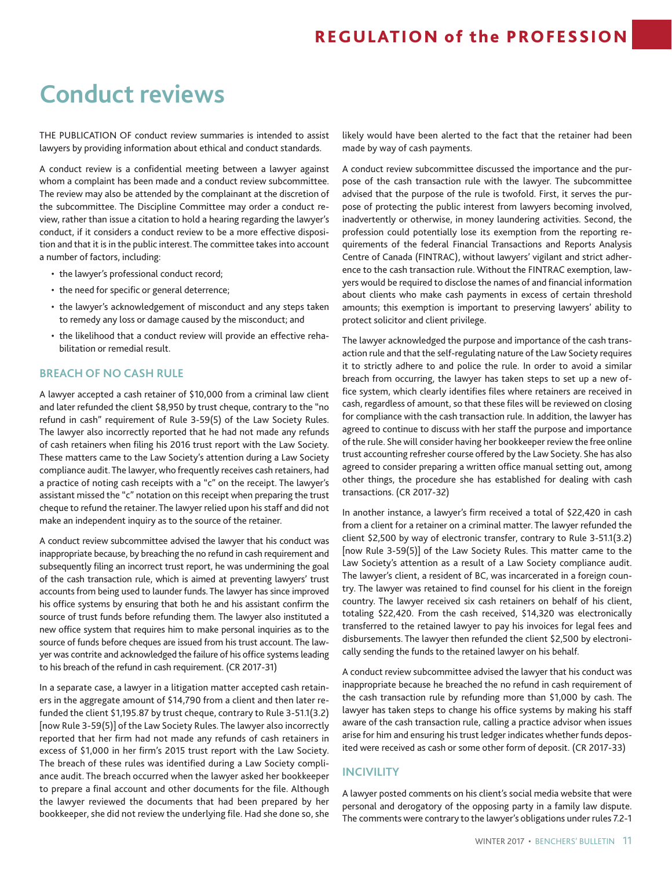# **Conduct reviews**

THE PUBLICATION OF conduct review summaries is intended to assist lawyers by providing information about ethical and conduct standards.

A conduct review is a confidential meeting between a lawyer against whom a complaint has been made and a conduct review subcommittee. The review may also be attended by the complainant at the discretion of the subcommittee. The Discipline Committee may order a conduct review, rather than issue a citation to hold a hearing regarding the lawyer's conduct, if it considers a conduct review to be a more effective disposition and that it is in the public interest. The committee takes into account a number of factors, including:

- the lawyer's professional conduct record;
- the need for specific or general deterrence;
- the lawyer's acknowledgement of misconduct and any steps taken to remedy any loss or damage caused by the misconduct; and
- the likelihood that a conduct review will provide an effective rehabilitation or remedial result.

#### **BREACH OF NO CASH RULE**

A lawyer accepted a cash retainer of \$10,000 from a criminal law client and later refunded the client \$8,950 by trust cheque, contrary to the "no refund in cash" requirement of Rule 3-59(5) of the Law Society Rules. The lawyer also incorrectly reported that he had not made any refunds of cash retainers when filing his 2016 trust report with the Law Society. These matters came to the Law Society's attention during a Law Society compliance audit. The lawyer, who frequently receives cash retainers, had a practice of noting cash receipts with a "c" on the receipt. The lawyer's assistant missed the "c" notation on this receipt when preparing the trust cheque to refund the retainer. The lawyer relied upon his staff and did not make an independent inquiry as to the source of the retainer.

A conduct review subcommittee advised the lawyer that his conduct was inappropriate because, by breaching the no refund in cash requirement and subsequently filing an incorrect trust report, he was undermining the goal of the cash transaction rule, which is aimed at preventing lawyers' trust accounts from being used to launder funds. The lawyer has since improved his office systems by ensuring that both he and his assistant confirm the source of trust funds before refunding them. The lawyer also instituted a new office system that requires him to make personal inquiries as to the source of funds before cheques are issued from his trust account. The lawyer was contrite and acknowledged the failure of his office systems leading to his breach of the refund in cash requirement. (CR 2017-31)

In a separate case, a lawyer in a litigation matter accepted cash retainers in the aggregate amount of \$14,790 from a client and then later refunded the client \$1,195.87 by trust cheque, contrary to Rule 3-51.1(3.2) [now Rule 3-59(5)] of the Law Society Rules. The lawyer also incorrectly reported that her firm had not made any refunds of cash retainers in excess of \$1,000 in her firm's 2015 trust report with the Law Society. The breach of these rules was identified during a Law Society compliance audit. The breach occurred when the lawyer asked her bookkeeper to prepare a final account and other documents for the file. Although the lawyer reviewed the documents that had been prepared by her bookkeeper, she did not review the underlying file. Had she done so, she

likely would have been alerted to the fact that the retainer had been made by way of cash payments.

A conduct review subcommittee discussed the importance and the purpose of the cash transaction rule with the lawyer. The subcommittee advised that the purpose of the rule is twofold. First, it serves the purpose of protecting the public interest from lawyers becoming involved, inadvertently or otherwise, in money laundering activities. Second, the profession could potentially lose its exemption from the reporting requirements of the federal Financial Transactions and Reports Analysis Centre of Canada (FINTRAC), without lawyers' vigilant and strict adherence to the cash transaction rule. Without the FINTRAC exemption, lawyers would be required to disclose the names of and financial information about clients who make cash payments in excess of certain threshold amounts; this exemption is important to preserving lawyers' ability to protect solicitor and client privilege.

The lawyer acknowledged the purpose and importance of the cash transaction rule and that the self-regulating nature of the Law Society requires it to strictly adhere to and police the rule. In order to avoid a similar breach from occurring, the lawyer has taken steps to set up a new office system, which clearly identifies files where retainers are received in cash, regardless of amount, so that these files will be reviewed on closing for compliance with the cash transaction rule. In addition, the lawyer has agreed to continue to discuss with her staff the purpose and importance of the rule. She will consider having her bookkeeper review the free online trust accounting refresher course offered by the Law Society. She has also agreed to consider preparing a written office manual setting out, among other things, the procedure she has established for dealing with cash transactions. (CR 2017-32)

In another instance, a lawyer's firm received a total of \$22,420 in cash from a client for a retainer on a criminal matter. The lawyer refunded the client \$2,500 by way of electronic transfer, contrary to Rule 3-51.1(3.2) [now Rule 3-59(5)] of the Law Society Rules. This matter came to the Law Society's attention as a result of a Law Society compliance audit. The lawyer's client, a resident of BC, was incarcerated in a foreign country. The lawyer was retained to find counsel for his client in the foreign country. The lawyer received six cash retainers on behalf of his client, totaling \$22,420. From the cash received, \$14,320 was electronically transferred to the retained lawyer to pay his invoices for legal fees and disbursements. The lawyer then refunded the client \$2,500 by electronically sending the funds to the retained lawyer on his behalf.

A conduct review subcommittee advised the lawyer that his conduct was inappropriate because he breached the no refund in cash requirement of the cash transaction rule by refunding more than \$1,000 by cash. The lawyer has taken steps to change his office systems by making his staff aware of the cash transaction rule, calling a practice advisor when issues arise for him and ensuring his trust ledger indicates whether funds deposited were received as cash or some other form of deposit. (CR 2017-33)

### **INCIVILITY**

A lawyer posted comments on his client's social media website that were personal and derogatory of the opposing party in a family law dispute. The comments were contrary to the lawyer's obligations under rules 7.2-1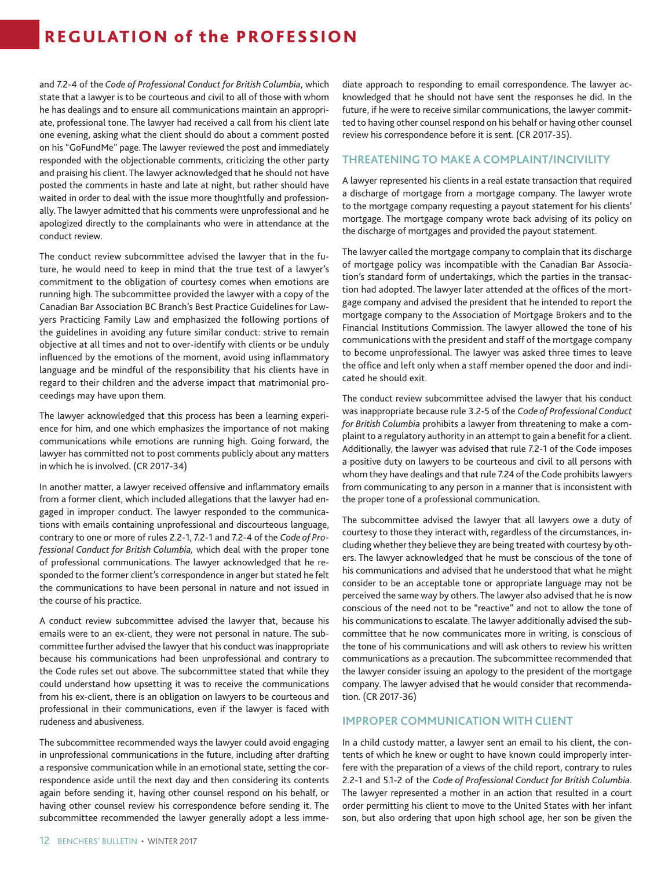and 7.2-4 of the *Code of Professional Conduct for British Columbia*, which state that a lawyer is to be courteous and civil to all of those with whom he has dealings and to ensure all communications maintain an appropriate, professional tone. The lawyer had received a call from his client late one evening, asking what the client should do about a comment posted on his "GoFundMe" page. The lawyer reviewed the post and immediately responded with the objectionable comments, criticizing the other party and praising his client. The lawyer acknowledged that he should not have posted the comments in haste and late at night, but rather should have waited in order to deal with the issue more thoughtfully and professionally. The lawyer admitted that his comments were unprofessional and he apologized directly to the complainants who were in attendance at the conduct review.

The conduct review subcommittee advised the lawyer that in the future, he would need to keep in mind that the true test of a lawyer's commitment to the obligation of courtesy comes when emotions are running high. The subcommittee provided the lawyer with a copy of the Canadian Bar Association BC Branch's Best Practice Guidelines for Lawyers Practicing Family Law and emphasized the following portions of the guidelines in avoiding any future similar conduct: strive to remain objective at all times and not to over-identify with clients or be unduly influenced by the emotions of the moment, avoid using inflammatory language and be mindful of the responsibility that his clients have in regard to their children and the adverse impact that matrimonial proceedings may have upon them.

The lawyer acknowledged that this process has been a learning experience for him, and one which emphasizes the importance of not making communications while emotions are running high. Going forward, the lawyer has committed not to post comments publicly about any matters in which he is involved. (CR 2017-34)

In another matter, a lawyer received offensive and inflammatory emails from a former client, which included allegations that the lawyer had engaged in improper conduct. The lawyer responded to the communications with emails containing unprofessional and discourteous language, contrary to one or more of rules 2.2-1, 7.2-1 and 7.2-4 of the *Code of Professional Conduct for British Columbia,* which deal with the proper tone of professional communications. The lawyer acknowledged that he responded to the former client's correspondence in anger but stated he felt the communications to have been personal in nature and not issued in the course of his practice.

A conduct review subcommittee advised the lawyer that, because his emails were to an ex-client, they were not personal in nature. The subcommittee further advised the lawyer that his conduct was inappropriate because his communications had been unprofessional and contrary to the Code rules set out above. The subcommittee stated that while they could understand how upsetting it was to receive the communications from his ex-client, there is an obligation on lawyers to be courteous and professional in their communications, even if the lawyer is faced with rudeness and abusiveness.

The subcommittee recommended ways the lawyer could avoid engaging in unprofessional communications in the future, including after drafting a responsive communication while in an emotional state, setting the correspondence aside until the next day and then considering its contents again before sending it, having other counsel respond on his behalf, or having other counsel review his correspondence before sending it. The subcommittee recommended the lawyer generally adopt a less immediate approach to responding to email correspondence. The lawyer acknowledged that he should not have sent the responses he did. In the future, if he were to receive similar communications, the lawyer committed to having other counsel respond on his behalf or having other counsel review his correspondence before it is sent. (CR 2017-35).

#### **THREATENING TO MAKE A COMPLAINT/INCIVILITY**

A lawyer represented his clients in a real estate transaction that required a discharge of mortgage from a mortgage company. The lawyer wrote to the mortgage company requesting a payout statement for his clients' mortgage. The mortgage company wrote back advising of its policy on the discharge of mortgages and provided the payout statement.

The lawyer called the mortgage company to complain that its discharge of mortgage policy was incompatible with the Canadian Bar Association's standard form of undertakings, which the parties in the transaction had adopted. The lawyer later attended at the offices of the mortgage company and advised the president that he intended to report the mortgage company to the Association of Mortgage Brokers and to the Financial Institutions Commission. The lawyer allowed the tone of his communications with the president and staff of the mortgage company to become unprofessional. The lawyer was asked three times to leave the office and left only when a staff member opened the door and indicated he should exit.

The conduct review subcommittee advised the lawyer that his conduct was inappropriate because rule 3.2-5 of the *Code of Professional Conduct for British Columbia* prohibits a lawyer from threatening to make a complaint to a regulatory authority in an attempt to gain a benefit for a client. Additionally, the lawyer was advised that rule 7.2-1 of the Code imposes a positive duty on lawyers to be courteous and civil to all persons with whom they have dealings and that rule 7.24 of the Code prohibits lawyers from communicating to any person in a manner that is inconsistent with the proper tone of a professional communication.

The subcommittee advised the lawyer that all lawyers owe a duty of courtesy to those they interact with, regardless of the circumstances, including whether they believe they are being treated with courtesy by others. The lawyer acknowledged that he must be conscious of the tone of his communications and advised that he understood that what he might consider to be an acceptable tone or appropriate language may not be perceived the same way by others. The lawyer also advised that he is now conscious of the need not to be "reactive" and not to allow the tone of his communications to escalate. The lawyer additionally advised the subcommittee that he now communicates more in writing, is conscious of the tone of his communications and will ask others to review his written communications as a precaution. The subcommittee recommended that the lawyer consider issuing an apology to the president of the mortgage company. The lawyer advised that he would consider that recommendation. (CR 2017-36)

### **IMPROPER COMMUNICATION WITH CLIENT**

In a child custody matter, a lawyer sent an email to his client, the contents of which he knew or ought to have known could improperly interfere with the preparation of a views of the child report, contrary to rules 2.2-1 and 5.1-2 of the *Code of Professional Conduct for British Columbia*. The lawyer represented a mother in an action that resulted in a court order permitting his client to move to the United States with her infant son, but also ordering that upon high school age, her son be given the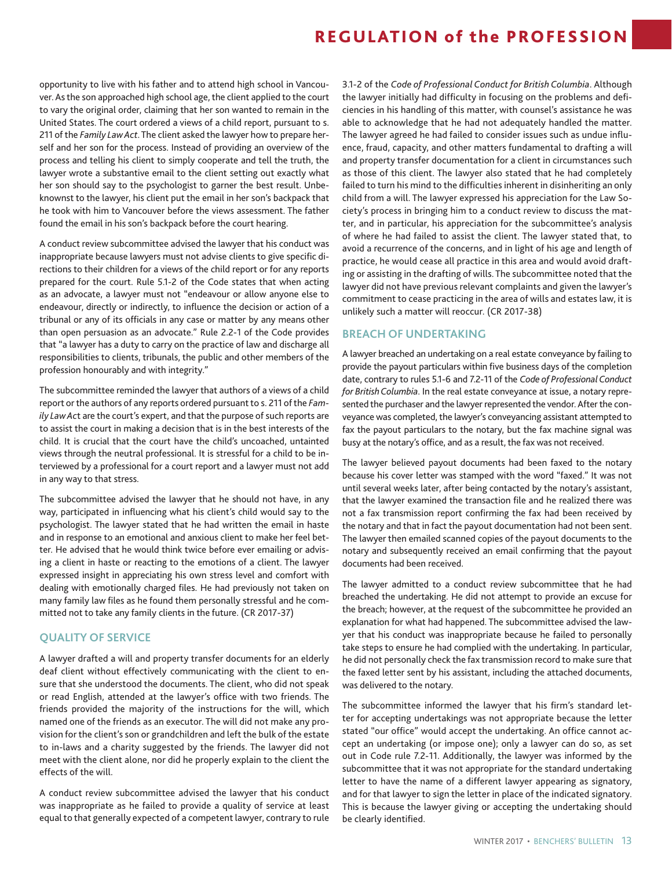opportunity to live with his father and to attend high school in Vancouver. As the son approached high school age, the client applied to the court to vary the original order, claiming that her son wanted to remain in the United States. The court ordered a views of a child report, pursuant to s. 211 of the *Family Law Act*. The client asked the lawyer how to prepare herself and her son for the process. Instead of providing an overview of the process and telling his client to simply cooperate and tell the truth, the lawyer wrote a substantive email to the client setting out exactly what her son should say to the psychologist to garner the best result. Unbeknownst to the lawyer, his client put the email in her son's backpack that he took with him to Vancouver before the views assessment. The father found the email in his son's backpack before the court hearing.

A conduct review subcommittee advised the lawyer that his conduct was inappropriate because lawyers must not advise clients to give specific directions to their children for a views of the child report or for any reports prepared for the court. Rule 5.1-2 of the Code states that when acting as an advocate, a lawyer must not "endeavour or allow anyone else to endeavour, directly or indirectly, to influence the decision or action of a tribunal or any of its officials in any case or matter by any means other than open persuasion as an advocate." Rule 2.2-1 of the Code provides that "a lawyer has a duty to carry on the practice of law and discharge all responsibilities to clients, tribunals, the public and other members of the profession honourably and with integrity."

The subcommittee reminded the lawyer that authors of a views of a child report or the authors of any reports ordered pursuant to s. 211 of the *Family Law Ac*t are the court's expert, and that the purpose of such reports are to assist the court in making a decision that is in the best interests of the child. It is crucial that the court have the child's uncoached, untainted views through the neutral professional. It is stressful for a child to be interviewed by a professional for a court report and a lawyer must not add in any way to that stress.

The subcommittee advised the lawyer that he should not have, in any way, participated in influencing what his client's child would say to the psychologist. The lawyer stated that he had written the email in haste and in response to an emotional and anxious client to make her feel better. He advised that he would think twice before ever emailing or advising a client in haste or reacting to the emotions of a client. The lawyer expressed insight in appreciating his own stress level and comfort with dealing with emotionally charged files. He had previously not taken on many family law files as he found them personally stressful and he committed not to take any family clients in the future. (CR 2017-37)

### **QUALITY OF SERVICE**

A lawyer drafted a will and property transfer documents for an elderly deaf client without effectively communicating with the client to ensure that she understood the documents. The client, who did not speak or read English, attended at the lawyer's office with two friends. The friends provided the majority of the instructions for the will, which named one of the friends as an executor. The will did not make any provision for the client's son or grandchildren and left the bulk of the estate to in-laws and a charity suggested by the friends. The lawyer did not meet with the client alone, nor did he properly explain to the client the effects of the will.

A conduct review subcommittee advised the lawyer that his conduct was inappropriate as he failed to provide a quality of service at least equal to that generally expected of a competent lawyer, contrary to rule

3.1-2 of the *Code of Professional Conduct for British Columbia*. Although the lawyer initially had difficulty in focusing on the problems and deficiencies in his handling of this matter, with counsel's assistance he was able to acknowledge that he had not adequately handled the matter. The lawyer agreed he had failed to consider issues such as undue influence, fraud, capacity, and other matters fundamental to drafting a will and property transfer documentation for a client in circumstances such as those of this client. The lawyer also stated that he had completely failed to turn his mind to the difficulties inherent in disinheriting an only child from a will. The lawyer expressed his appreciation for the Law Society's process in bringing him to a conduct review to discuss the matter, and in particular, his appreciation for the subcommittee's analysis of where he had failed to assist the client. The lawyer stated that, to avoid a recurrence of the concerns, and in light of his age and length of practice, he would cease all practice in this area and would avoid drafting or assisting in the drafting of wills. The subcommittee noted that the lawyer did not have previous relevant complaints and given the lawyer's commitment to cease practicing in the area of wills and estates law, it is unlikely such a matter will reoccur. (CR 2017-38)

### **BREACH OF UNDERTAKING**

A lawyer breached an undertaking on a real estate conveyance by failing to provide the payout particulars within five business days of the completion date, contrary to rules 5.1-6 and 7.2-11 of the *Code of Professional Conduct for British Columbia*. In the real estate conveyance at issue, a notary represented the purchaser and the lawyer represented the vendor. After the conveyance was completed, the lawyer's conveyancing assistant attempted to fax the payout particulars to the notary, but the fax machine signal was busy at the notary's office, and as a result, the fax was not received.

The lawyer believed payout documents had been faxed to the notary because his cover letter was stamped with the word "faxed." It was not until several weeks later, after being contacted by the notary's assistant, that the lawyer examined the transaction file and he realized there was not a fax transmission report confirming the fax had been received by the notary and that in fact the payout documentation had not been sent. The lawyer then emailed scanned copies of the payout documents to the notary and subsequently received an email confirming that the payout documents had been received.

The lawyer admitted to a conduct review subcommittee that he had breached the undertaking. He did not attempt to provide an excuse for the breach; however, at the request of the subcommittee he provided an explanation for what had happened. The subcommittee advised the lawyer that his conduct was inappropriate because he failed to personally take steps to ensure he had complied with the undertaking. In particular, he did not personally check the fax transmission record to make sure that the faxed letter sent by his assistant, including the attached documents, was delivered to the notary.

The subcommittee informed the lawyer that his firm's standard letter for accepting undertakings was not appropriate because the letter stated "our office" would accept the undertaking. An office cannot accept an undertaking (or impose one); only a lawyer can do so, as set out in Code rule 7.2-11. Additionally, the lawyer was informed by the subcommittee that it was not appropriate for the standard undertaking letter to have the name of a different lawyer appearing as signatory, and for that lawyer to sign the letter in place of the indicated signatory. This is because the lawyer giving or accepting the undertaking should be clearly identified.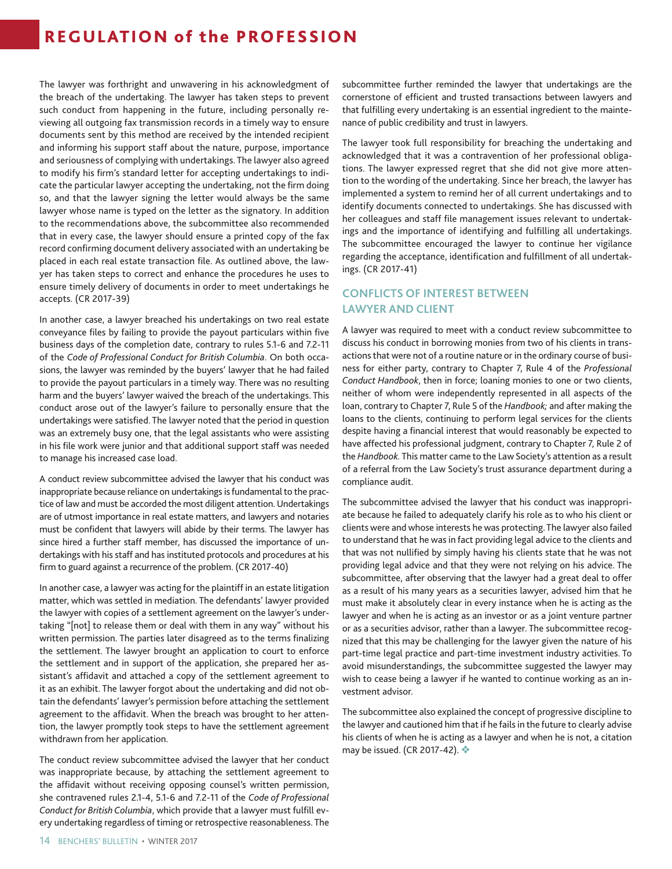The lawyer was forthright and unwavering in his acknowledgment of the breach of the undertaking. The lawyer has taken steps to prevent such conduct from happening in the future, including personally reviewing all outgoing fax transmission records in a timely way to ensure documents sent by this method are received by the intended recipient and informing his support staff about the nature, purpose, importance and seriousness of complying with undertakings. The lawyer also agreed to modify his firm's standard letter for accepting undertakings to indicate the particular lawyer accepting the undertaking, not the firm doing so, and that the lawyer signing the letter would always be the same lawyer whose name is typed on the letter as the signatory. In addition to the recommendations above, the subcommittee also recommended that in every case, the lawyer should ensure a printed copy of the fax record confirming document delivery associated with an undertaking be placed in each real estate transaction file. As outlined above, the lawyer has taken steps to correct and enhance the procedures he uses to ensure timely delivery of documents in order to meet undertakings he accepts. (CR 2017-39)

In another case, a lawyer breached his undertakings on two real estate conveyance files by failing to provide the payout particulars within five business days of the completion date, contrary to rules 5.1-6 and 7.2-11 of the *Code of Professional Conduct for British Columbia*. On both occasions, the lawyer was reminded by the buyers' lawyer that he had failed to provide the payout particulars in a timely way. There was no resulting harm and the buyers' lawyer waived the breach of the undertakings. This conduct arose out of the lawyer's failure to personally ensure that the undertakings were satisfied. The lawyer noted that the period in question was an extremely busy one, that the legal assistants who were assisting in his file work were junior and that additional support staff was needed to manage his increased case load.

A conduct review subcommittee advised the lawyer that his conduct was inappropriate because reliance on undertakings is fundamental to the practice of law and must be accorded the most diligent attention. Undertakings are of utmost importance in real estate matters, and lawyers and notaries must be confident that lawyers will abide by their terms. The lawyer has since hired a further staff member, has discussed the importance of undertakings with his staff and has instituted protocols and procedures at his firm to guard against a recurrence of the problem. (CR 2017-40)

In another case, a lawyer was acting for the plaintiff in an estate litigation matter, which was settled in mediation. The defendants' lawyer provided the lawyer with copies of a settlement agreement on the lawyer's undertaking "[not] to release them or deal with them in any way" without his written permission. The parties later disagreed as to the terms finalizing the settlement. The lawyer brought an application to court to enforce the settlement and in support of the application, she prepared her assistant's affidavit and attached a copy of the settlement agreement to it as an exhibit. The lawyer forgot about the undertaking and did not obtain the defendants' lawyer's permission before attaching the settlement agreement to the affidavit. When the breach was brought to her attention, the lawyer promptly took steps to have the settlement agreement withdrawn from her application.

The conduct review subcommittee advised the lawyer that her conduct was inappropriate because, by attaching the settlement agreement to the affidavit without receiving opposing counsel's written permission, she contravened rules 2.1-4, 5.1-6 and 7.2-11 of the *Code of Professional Conduct for British Columbia*, which provide that a lawyer must fulfill every undertaking regardless of timing or retrospective reasonableness. The

subcommittee further reminded the lawyer that undertakings are the cornerstone of efficient and trusted transactions between lawyers and that fulfilling every undertaking is an essential ingredient to the maintenance of public credibility and trust in lawyers.

The lawyer took full responsibility for breaching the undertaking and acknowledged that it was a contravention of her professional obligations. The lawyer expressed regret that she did not give more attention to the wording of the undertaking. Since her breach, the lawyer has implemented a system to remind her of all current undertakings and to identify documents connected to undertakings. She has discussed with her colleagues and staff file management issues relevant to undertakings and the importance of identifying and fulfilling all undertakings. The subcommittee encouraged the lawyer to continue her vigilance regarding the acceptance, identification and fulfillment of all undertakings. (CR 2017-41)

### **CONFLICTS OF INTEREST BETWEEN LAWYER AND CLIENT**

A lawyer was required to meet with a conduct review subcommittee to discuss his conduct in borrowing monies from two of his clients in transactions that were not of a routine nature or in the ordinary course of business for either party, contrary to Chapter 7, Rule 4 of the *Professional Conduct Handbook*, then in force; loaning monies to one or two clients, neither of whom were independently represented in all aspects of the loan, contrary to Chapter 7, Rule 5 of the *Handbook;* and after making the loans to the clients, continuing to perform legal services for the clients despite having a financial interest that would reasonably be expected to have affected his professional judgment, contrary to Chapter 7, Rule 2 of the *Handbook.* This matter came to the Law Society's attention as a result of a referral from the Law Society's trust assurance department during a compliance audit.

The subcommittee advised the lawyer that his conduct was inappropriate because he failed to adequately clarify his role as to who his client or clients were and whose interests he was protecting. The lawyer also failed to understand that he was in fact providing legal advice to the clients and that was not nullified by simply having his clients state that he was not providing legal advice and that they were not relying on his advice. The subcommittee, after observing that the lawyer had a great deal to offer as a result of his many years as a securities lawyer, advised him that he must make it absolutely clear in every instance when he is acting as the lawyer and when he is acting as an investor or as a joint venture partner or as a securities advisor, rather than a lawyer. The subcommittee recognized that this may be challenging for the lawyer given the nature of his part-time legal practice and part-time investment industry activities. To avoid misunderstandings, the subcommittee suggested the lawyer may wish to cease being a lawyer if he wanted to continue working as an investment advisor.

The subcommittee also explained the concept of progressive discipline to the lawyer and cautioned him that if he fails in the future to clearly advise his clients of when he is acting as a lawyer and when he is not, a citation may be issued. (CR 2017-42).  $\clubsuit$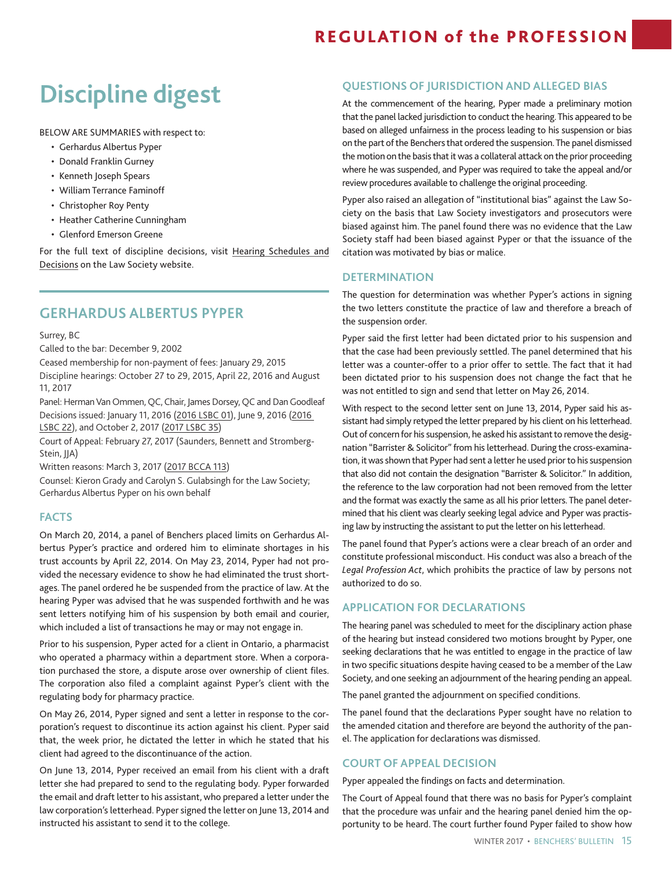# **Discipline digest**

BELOW ARE SUMMARIES with respect to:

- Gerhardus Albertus Pyper
- Donald Franklin Gurney
- Kenneth Joseph Spears
- William Terrance Faminoff
- Christopher Roy Penty
- Heather Catherine Cunningham
- Glenford Emerson Greene

For the full text of discipline decisions, visit [Hearing Schedules and](https://www.lawsociety.bc.ca/complaints-lawyer-discipline-and-public-hearings/public-hearings/schedule-and-outcomes/) [Decisions](https://www.lawsociety.bc.ca/complaints-lawyer-discipline-and-public-hearings/public-hearings/schedule-and-outcomes/) on the Law Society website.

### **GERHARDUS ALBERTUS PYPER**

Surrey, BC

Called to the bar: December 9, 2002

Ceased membership for non-payment of fees: January 29, 2015

Discipline hearings: October 27 to 29, 2015, April 22, 2016 and August 11, 2017

Panel: Herman Van Ommen, QC, Chair, James Dorsey, QC and Dan Goodleaf Decisions issued: January 11, 2016 [\(2016 LSBC 01](https://www.lawsociety.bc.ca/lsbc/apps/hearings/viewreport.cfm?hearing_id=860&t=Pyper-Decision-on-Facts-and-Determination)), June 9, 2016 [\(2016](https://www.lawsociety.bc.ca/lsbc/apps/hearings/viewreport.cfm?hearing_id=885&t=Pyper-Decision-on-an-Application-for-Declarations)  [LSBC 22](https://www.lawsociety.bc.ca/lsbc/apps/hearings/viewreport.cfm?hearing_id=885&t=Pyper-Decision-on-an-Application-for-Declarations)), and October 2, 2017 [\(2017 LSBC 35](https://www.lawsociety.bc.ca/lsbc/apps/hearings/viewreport.cfm?hearing_id=942&t=Pyper-Decision-on-Disciplinary-Action))

Court of Appeal: February 27, 2017 (Saunders, Bennett and Stromberg-Stein, JJA)

Written reasons: March 3, 2017 [\(2017 BCCA 113\)](http://www.courts.gov.bc.ca/jdb-txt/ca/17/01/2017BCCA0113.htm)

Counsel: Kieron Grady and Carolyn S. Gulabsingh for the Law Society; Gerhardus Albertus Pyper on his own behalf

### **FACTS**

On March 20, 2014, a panel of Benchers placed limits on Gerhardus Albertus Pyper's practice and ordered him to eliminate shortages in his trust accounts by April 22, 2014. On May 23, 2014, Pyper had not provided the necessary evidence to show he had eliminated the trust shortages. The panel ordered he be suspended from the practice of law. At the hearing Pyper was advised that he was suspended forthwith and he was sent letters notifying him of his suspension by both email and courier, which included a list of transactions he may or may not engage in.

Prior to his suspension, Pyper acted for a client in Ontario, a pharmacist who operated a pharmacy within a department store. When a corporation purchased the store, a dispute arose over ownership of client files. The corporation also filed a complaint against Pyper's client with the regulating body for pharmacy practice.

On May 26, 2014, Pyper signed and sent a letter in response to the corporation's request to discontinue its action against his client. Pyper said that, the week prior, he dictated the letter in which he stated that his client had agreed to the discontinuance of the action.

On June 13, 2014, Pyper received an email from his client with a draft letter she had prepared to send to the regulating body. Pyper forwarded the email and draft letter to his assistant, who prepared a letter under the law corporation's letterhead. Pyper signed the letter on June 13, 2014 and instructed his assistant to send it to the college.

### **QUESTIONS OF JURISDICTION AND ALLEGED BIAS**

At the commencement of the hearing, Pyper made a preliminary motion that the panel lacked jurisdiction to conduct the hearing. This appeared to be based on alleged unfairness in the process leading to his suspension or bias on the part of the Benchers that ordered the suspension. The panel dismissed the motion on the basis that it was a collateral attack on the prior proceeding where he was suspended, and Pyper was required to take the appeal and/or review procedures available to challenge the original proceeding.

Pyper also raised an allegation of "institutional bias" against the Law Society on the basis that Law Society investigators and prosecutors were biased against him. The panel found there was no evidence that the Law Society staff had been biased against Pyper or that the issuance of the citation was motivated by bias or malice.

### **DETERMINATION**

The question for determination was whether Pyper's actions in signing the two letters constitute the practice of law and therefore a breach of the suspension order.

Pyper said the first letter had been dictated prior to his suspension and that the case had been previously settled. The panel determined that his letter was a counter-offer to a prior offer to settle. The fact that it had been dictated prior to his suspension does not change the fact that he was not entitled to sign and send that letter on May 26, 2014.

With respect to the second letter sent on June 13, 2014, Pyper said his assistant had simply retyped the letter prepared by his client on his letterhead. Out of concern for his suspension, he asked his assistant to remove the designation "Barrister & Solicitor" from his letterhead. During the cross-examination, it was shown that Pyper had sent a letter he used prior to his suspension that also did not contain the designation "Barrister & Solicitor." In addition, the reference to the law corporation had not been removed from the letter and the format was exactly the same as all his prior letters. The panel determined that his client was clearly seeking legal advice and Pyper was practising law by instructing the assistant to put the letter on his letterhead.

The panel found that Pyper's actions were a clear breach of an order and constitute professional misconduct. His conduct was also a breach of the *Legal Profession Act*, which prohibits the practice of law by persons not authorized to do so.

### **APPLICATION FOR DECLARATIONS**

The hearing panel was scheduled to meet for the disciplinary action phase of the hearing but instead considered two motions brought by Pyper, one seeking declarations that he was entitled to engage in the practice of law in two specific situations despite having ceased to be a member of the Law Society, and one seeking an adjournment of the hearing pending an appeal.

The panel granted the adjournment on specified conditions.

The panel found that the declarations Pyper sought have no relation to the amended citation and therefore are beyond the authority of the panel. The application for declarations was dismissed.

### **COURT OF APPEAL DECISION**

Pyper appealed the findings on facts and determination.

The Court of Appeal found that there was no basis for Pyper's complaint that the procedure was unfair and the hearing panel denied him the opportunity to be heard. The court further found Pyper failed to show how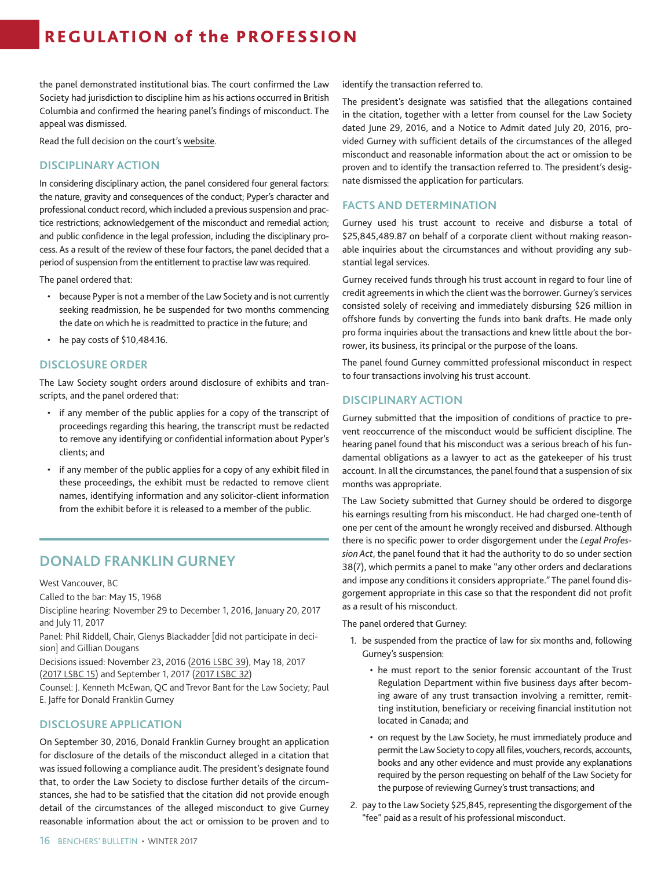the panel demonstrated institutional bias. The court confirmed the Law Society had jurisdiction to discipline him as his actions occurred in British Columbia and confirmed the hearing panel's findings of misconduct. The appeal was dismissed.

Read the full decision on the court's [website.](http://www.courts.gov.bc.ca/jdb-txt/ca/17/01/2017BCCA0113.htm)

### **DISCIPLINARY ACTION**

In considering disciplinary action, the panel considered four general factors: the nature, gravity and consequences of the conduct; Pyper's character and professional conduct record, which included a previous suspension and practice restrictions; acknowledgement of the misconduct and remedial action; and public confidence in the legal profession, including the disciplinary process. As a result of the review of these four factors, the panel decided that a period of suspension from the entitlement to practise law was required.

The panel ordered that:

- because Pyper is not a member of the Law Society and is not currently seeking readmission, he be suspended for two months commencing the date on which he is readmitted to practice in the future; and
- he pay costs of \$10,484.16.

### **DISCLOSURE ORDER**

The Law Society sought orders around disclosure of exhibits and transcripts, and the panel ordered that:

- if any member of the public applies for a copy of the transcript of proceedings regarding this hearing, the transcript must be redacted to remove any identifying or confidential information about Pyper's clients; and
- if any member of the public applies for a copy of any exhibit filed in these proceedings, the exhibit must be redacted to remove client names, identifying information and any solicitor-client information from the exhibit before it is released to a member of the public.

### **DONALD FRANKLIN GURNEY**

West Vancouver, BC

Called to the bar: May 15, 1968

Discipline hearing: November 29 to December 1, 2016, January 20, 2017 and July 11, 2017

Panel: Phil Riddell, Chair, Glenys Blackadder [did not participate in decision] and Gillian Dougans

Decisions issued: November 23, 2016 [\(2016 LSBC 39](https://www.lawsociety.bc.ca/lsbc/apps/hearings/viewreport.cfm?hearing_id=903&t=Gurney-Decision-on-an-Application-for-Disclosure-of-the-Circumstances)), May 18, 2017 ([2017 LSBC 15\)](https://www.lawsociety.bc.ca/lsbc/apps/hearings/viewreport.cfm?hearing_id=922) and September 1, 2017 ([2017 LSBC 32\)](https://www.lawsociety.bc.ca/lsbc/apps/hearings/viewreport.cfm?hearing_id=937&t=Gurney-Decision-on-Disciplinary-Action)

Counsel: J. Kenneth McEwan, QC and Trevor Bant for the Law Society; Paul E. Jaffe for Donald Franklin Gurney

### **DISCLOSURE APPLICATION**

On September 30, 2016, Donald Franklin Gurney brought an application for disclosure of the details of the misconduct alleged in a citation that was issued following a compliance audit. The president's designate found that, to order the Law Society to disclose further details of the circumstances, she had to be satisfied that the citation did not provide enough detail of the circumstances of the alleged misconduct to give Gurney reasonable information about the act or omission to be proven and to identify the transaction referred to.

The president's designate was satisfied that the allegations contained in the citation, together with a letter from counsel for the Law Society dated June 29, 2016, and a Notice to Admit dated July 20, 2016, provided Gurney with sufficient details of the circumstances of the alleged misconduct and reasonable information about the act or omission to be proven and to identify the transaction referred to. The president's designate dismissed the application for particulars.

### **FACTS AND DETERMINATION**

Gurney used his trust account to receive and disburse a total of \$25,845,489.87 on behalf of a corporate client without making reasonable inquiries about the circumstances and without providing any substantial legal services.

Gurney received funds through his trust account in regard to four line of credit agreements in which the client was the borrower. Gurney's services consisted solely of receiving and immediately disbursing \$26 million in offshore funds by converting the funds into bank drafts. He made only pro forma inquiries about the transactions and knew little about the borrower, its business, its principal or the purpose of the loans.

The panel found Gurney committed professional misconduct in respect to four transactions involving his trust account.

### **DISCIPLINARY ACTION**

Gurney submitted that the imposition of conditions of practice to prevent reoccurrence of the misconduct would be sufficient discipline. The hearing panel found that his misconduct was a serious breach of his fundamental obligations as a lawyer to act as the gatekeeper of his trust account. In all the circumstances, the panel found that a suspension of six months was appropriate.

The Law Society submitted that Gurney should be ordered to disgorge his earnings resulting from his misconduct. He had charged one-tenth of one per cent of the amount he wrongly received and disbursed. Although there is no specific power to order disgorgement under the *Legal Profession Act*, the panel found that it had the authority to do so under section 38(7), which permits a panel to make "any other orders and declarations and impose any conditions it considers appropriate." The panel found disgorgement appropriate in this case so that the respondent did not profit as a result of his misconduct.

The panel ordered that Gurney:

- 1. be suspended from the practice of law for six months and, following Gurney's suspension:
	- he must report to the senior forensic accountant of the Trust Regulation Department within five business days after becoming aware of any trust transaction involving a remitter, remitting institution, beneficiary or receiving financial institution not located in Canada; and
	- on request by the Law Society, he must immediately produce and permit the Law Society to copy all files, vouchers, records, accounts, books and any other evidence and must provide any explanations required by the person requesting on behalf of the Law Society for the purpose of reviewing Gurney's trust transactions; and
- 2. pay to the Law Society \$25,845, representing the disgorgement of the "fee" paid as a result of his professional misconduct.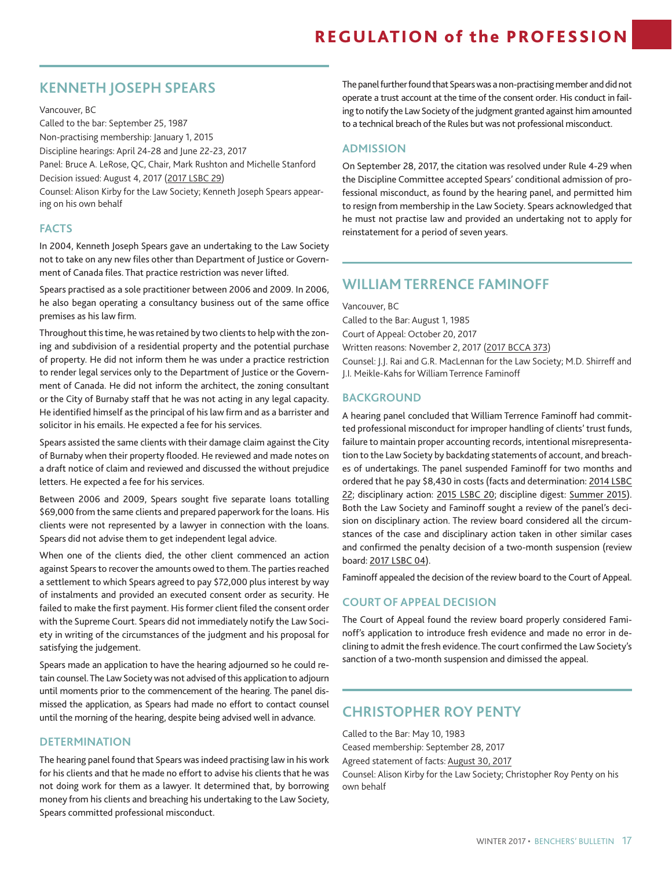### **KENNETH JOSEPH SPEARS**

Vancouver, BC

Called to the bar: September 25, 1987

Non-practising membership: January 1, 2015

Discipline hearings: April 24-28 and June 22-23, 2017

Panel: Bruce A. LeRose, QC, Chair, Mark Rushton and Michelle Stanford Decision issued: August 4, 2017 ([2017 LSBC 29\)](https://www.lawsociety.bc.ca/lsbc/apps/hearings/viewreport.cfm?hearing_id=933)

Counsel: Alison Kirby for the Law Society; Kenneth Joseph Spears appearing on his own behalf

### **FACTS**

In 2004, Kenneth Joseph Spears gave an undertaking to the Law Society not to take on any new files other than Department of Justice or Government of Canada files. That practice restriction was never lifted.

Spears practised as a sole practitioner between 2006 and 2009. In 2006, he also began operating a consultancy business out of the same office premises as his law firm.

Throughout this time, he was retained by two clients to help with the zoning and subdivision of a residential property and the potential purchase of property. He did not inform them he was under a practice restriction to render legal services only to the Department of Justice or the Government of Canada. He did not inform the architect, the zoning consultant or the City of Burnaby staff that he was not acting in any legal capacity. He identified himself as the principal of his law firm and as a barrister and solicitor in his emails. He expected a fee for his services.

Spears assisted the same clients with their damage claim against the City of Burnaby when their property flooded. He reviewed and made notes on a draft notice of claim and reviewed and discussed the without prejudice letters. He expected a fee for his services.

Between 2006 and 2009, Spears sought five separate loans totalling \$69,000 from the same clients and prepared paperwork for the loans. His clients were not represented by a lawyer in connection with the loans. Spears did not advise them to get independent legal advice.

When one of the clients died, the other client commenced an action against Spears to recover the amounts owed to them. The parties reached a settlement to which Spears agreed to pay \$72,000 plus interest by way of instalments and provided an executed consent order as security. He failed to make the first payment. His former client filed the consent order with the Supreme Court. Spears did not immediately notify the Law Society in writing of the circumstances of the judgment and his proposal for satisfying the judgement.

Spears made an application to have the hearing adjourned so he could retain counsel. The Law Society was not advised of this application to adjourn until moments prior to the commencement of the hearing. The panel dismissed the application, as Spears had made no effort to contact counsel until the morning of the hearing, despite being advised well in advance.

### **DETERMINATION**

The hearing panel found that Spears was indeed practising law in his work for his clients and that he made no effort to advise his clients that he was not doing work for them as a lawyer. It determined that, by borrowing money from his clients and breaching his undertaking to the Law Society, Spears committed professional misconduct.

The panel further found that Spears was a non-practising member and did not operate a trust account at the time of the consent order. His conduct in failing to notify the Law Society of the judgment granted against him amounted to a technical breach of the Rules but was not professional misconduct.

### **ADMISSION**

On September 28, 2017, the citation was resolved under Rule 4-29 when the Discipline Committee accepted Spears' conditional admission of professional misconduct, as found by the hearing panel, and permitted him to resign from membership in the Law Society. Spears acknowledged that he must not practise law and provided an undertaking not to apply for reinstatement for a period of seven years.

### **WILLIAM TERRENCE FAMINOFF**

Vancouver, BC Called to the Bar: August 1, 1985 Court of Appeal: October 20, 2017 Written reasons: November 2, 2017 ([2017 BCCA 373](http://www.courts.gov.bc.ca/jdb-txt/ca/17/03/2017BCCA0373.htm)) Counsel: J.J. Rai and G.R. MacLennan for the Law Society; M.D. Shirreff and J.I. Meikle-Kahs for William Terrence Faminoff

### **BACKGROUND**

A hearing panel concluded that William Terrence Faminoff had committed professional misconduct for improper handling of clients' trust funds, failure to maintain proper accounting records, intentional misrepresentation to the Law Society by backdating statements of account, and breaches of undertakings. The panel suspended Faminoff for two months and ordered that he pay \$8,430 in costs (facts and determination: [2014 LSBC](https://www.lawsociety.bc.ca/lsbc/apps/hearings/viewreport.cfm?hearing_id=737&t=Faminoff-Decision-on-Facts-and-Determination-Bencher-Review-concluded)  [22](https://www.lawsociety.bc.ca/lsbc/apps/hearings/viewreport.cfm?hearing_id=737&t=Faminoff-Decision-on-Facts-and-Determination-Bencher-Review-concluded); disciplinary action: [2015 LSBC 20;](https://www.lawsociety.bc.ca/lsbc/apps/hearings/viewreport.cfm?hearing_id=811&t=Faminoff-Decision-on-Disciplinary-Action-s.-47-Review-concludedstay-granted-and-extended-to-March-31,-2016-or-further-order-of-the-review-board) discipline digest: [Summer 2015](https://www.lawsociety.bc.ca/docs/bulletin/BB_2015-02-Summer.pdf)). Both the Law Society and Faminoff sought a review of the panel's decision on disciplinary action. The review board considered all the circumstances of the case and disciplinary action taken in other similar cases and confirmed the penalty decision of a two-month suspension (review board: [2017 LSBC 04\)](https://www.lawsociety.bc.ca/lsbc/apps/hearings/viewreport.cfm?hearing_id=913&t=Faminoff-Decision-of-a-Review-Board).

Faminoff appealed the decision of the review board to the Court of Appeal.

### **COURT OF APPEAL DECISION**

The Court of Appeal found the review board properly considered Faminoff's application to introduce fresh evidence and made no error in declining to admit the fresh evidence. The court confirmed the Law Society's sanction of a two-month suspension and dimissed the appeal.

### **CHRISTOPHER ROY PENTY**

Called to the Bar: May 10, 1983

Ceased membership: September 28, 2017

Agreed statement of facts: [August 30, 2017](https://www.lawsociety.bc.ca/lsbc/apps/hearings/viewreport.cfm?hearing_id=941&t=Penty-Agreed-Statement-of-Facts)

Counsel: Alison Kirby for the Law Society; Christopher Roy Penty on his own behalf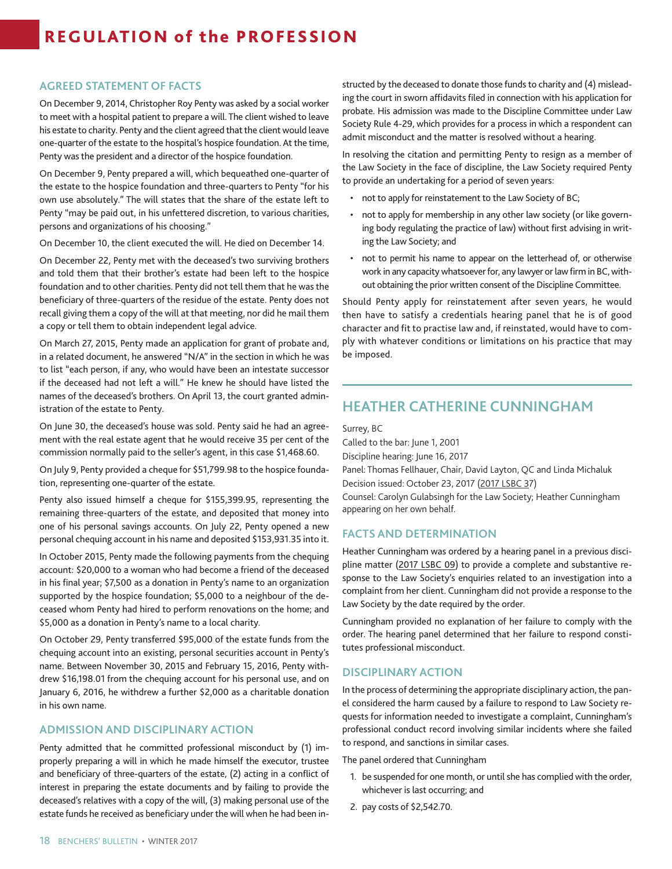### **AGREED STATEMENT OF FACTS**

On December 9, 2014, Christopher Roy Penty was asked by a social worker to meet with a hospital patient to prepare a will. The client wished to leave his estate to charity. Penty and the client agreed that the client would leave one-quarter of the estate to the hospital's hospice foundation. At the time, Penty was the president and a director of the hospice foundation.

On December 9, Penty prepared a will, which bequeathed one-quarter of the estate to the hospice foundation and three-quarters to Penty "for his own use absolutely." The will states that the share of the estate left to Penty "may be paid out, in his unfettered discretion, to various charities, persons and organizations of his choosing."

On December 10, the client executed the will. He died on December 14.

On December 22, Penty met with the deceased's two surviving brothers and told them that their brother's estate had been left to the hospice foundation and to other charities. Penty did not tell them that he was the beneficiary of three-quarters of the residue of the estate. Penty does not recall giving them a copy of the will at that meeting, nor did he mail them a copy or tell them to obtain independent legal advice.

On March 27, 2015, Penty made an application for grant of probate and, in a related document, he answered "N/A" in the section in which he was to list "each person, if any, who would have been an intestate successor if the deceased had not left a will." He knew he should have listed the names of the deceased's brothers. On April 13, the court granted administration of the estate to Penty.

On June 30, the deceased's house was sold. Penty said he had an agreement with the real estate agent that he would receive 35 per cent of the commission normally paid to the seller's agent, in this case \$1,468.60.

On July 9, Penty provided a cheque for \$51,799.98 to the hospice foundation, representing one-quarter of the estate.

Penty also issued himself a cheque for \$155,399.95, representing the remaining three-quarters of the estate, and deposited that money into one of his personal savings accounts. On July 22, Penty opened a new personal chequing account in his name and deposited \$153,931.35 into it.

In October 2015, Penty made the following payments from the chequing account: \$20,000 to a woman who had become a friend of the deceased in his final year; \$7,500 as a donation in Penty's name to an organization supported by the hospice foundation; \$5,000 to a neighbour of the deceased whom Penty had hired to perform renovations on the home; and \$5,000 as a donation in Penty's name to a local charity.

On October 29, Penty transferred \$95,000 of the estate funds from the chequing account into an existing, personal securities account in Penty's name. Between November 30, 2015 and February 15, 2016, Penty withdrew \$16,198.01 from the chequing account for his personal use, and on January 6, 2016, he withdrew a further \$2,000 as a charitable donation in his own name.

### **ADMISSION AND DISCIPLINARY ACTION**

Penty admitted that he committed professional misconduct by (1) improperly preparing a will in which he made himself the executor, trustee and beneficiary of three-quarters of the estate, (2) acting in a conflict of interest in preparing the estate documents and by failing to provide the deceased's relatives with a copy of the will, (3) making personal use of the estate funds he received as beneficiary under the will when he had been instructed by the deceased to donate those funds to charity and (4) misleading the court in sworn affidavits filed in connection with his application for probate. His admission was made to the Discipline Committee under Law Society Rule 4-29, which provides for a process in which a respondent can admit misconduct and the matter is resolved without a hearing.

In resolving the citation and permitting Penty to resign as a member of the Law Society in the face of discipline, the Law Society required Penty to provide an undertaking for a period of seven years:

- not to apply for reinstatement to the Law Society of BC;
- not to apply for membership in any other law society (or like governing body regulating the practice of law) without first advising in writing the Law Society; and
- not to permit his name to appear on the letterhead of, or otherwise work in any capacity whatsoever for, any lawyer or law firm in BC, without obtaining the prior written consent of the Discipline Committee.

Should Penty apply for reinstatement after seven years, he would then have to satisfy a credentials hearing panel that he is of good character and fit to practise law and, if reinstated, would have to comply with whatever conditions or limitations on his practice that may be imposed.

### **HEATHER CATHERINE CUNNINGHAM**

Surrey, BC

Called to the bar: June 1, 2001 Discipline hearing: June 16, 2017 Panel: Thomas Fellhauer, Chair, David Layton, QC and Linda Michaluk Decision issued: October 23, 2017 ([2017 LSBC 37](https://www.lawsociety.bc.ca/lsbc/apps/hearings/viewreport.cfm?hearing_id=946)) Counsel: Carolyn Gulabsingh for the Law Society; Heather Cunningham appearing on her own behalf.

### **FACTS AND DETERMINATION**

Heather Cunningham was ordered by a hearing panel in a previous discipline matter [\(2017 LSBC 09\)](https://www.lawsociety.bc.ca/lsbc/apps/hearings/viewreport.cfm?hearing_id=926&t=Cunningham-Decision-on-Facts,-Determination,-Disciplinary-Action-and-Costs) to provide a complete and substantive response to the Law Society's enquiries related to an investigation into a complaint from her client. Cunningham did not provide a response to the Law Society by the date required by the order.

Cunningham provided no explanation of her failure to comply with the order. The hearing panel determined that her failure to respond constitutes professional misconduct.

### **DISCIPLINARY ACTION**

In the process of determining the appropriate disciplinary action, the panel considered the harm caused by a failure to respond to Law Society requests for information needed to investigate a complaint, Cunningham's professional conduct record involving similar incidents where she failed to respond, and sanctions in similar cases.

The panel ordered that Cunningham

- 1. be suspended for one month, or until she has complied with the order, whichever is last occurring; and
- 2. pay costs of \$2,542.70.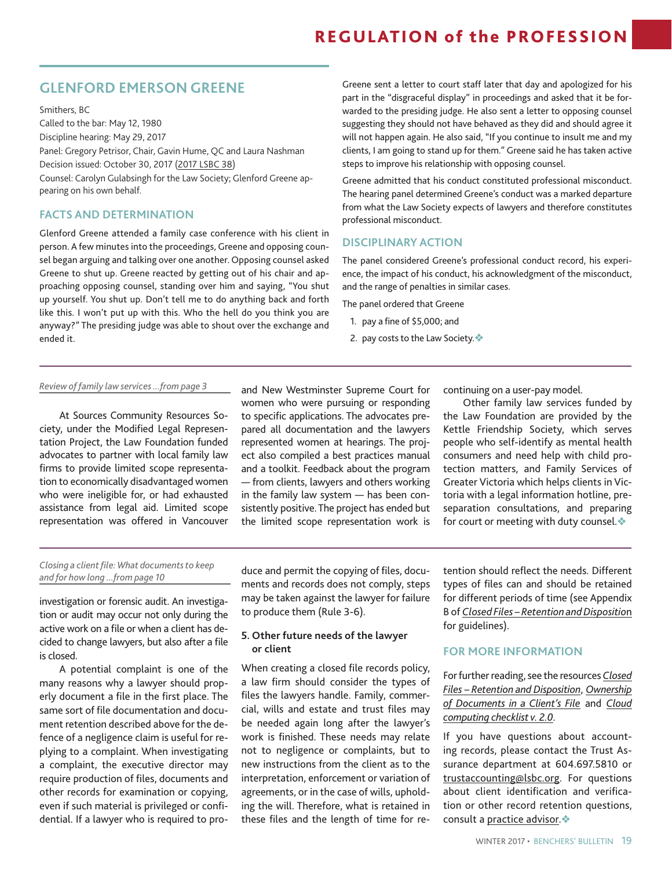### **GLENFORD EMERSON GREENE**

Smithers, BC Called to the bar: May 12, 1980 Discipline hearing: May 29, 2017 Panel: Gregory Petrisor, Chair, Gavin Hume, QC and Laura Nashman Decision issued: October 30, 2017 [\(2017 LSBC 38\)](https://www.lawsociety.bc.ca/lsbc/apps/hearings/viewreport.cfm?hearing_id=947) Counsel: Carolyn Gulabsingh for the Law Society; Glenford Greene appearing on his own behalf.

### **FACTS AND DETERMINATION**

Glenford Greene attended a family case conference with his client in person. A few minutes into the proceedings, Greene and opposing counsel began arguing and talking over one another. Opposing counsel asked Greene to shut up. Greene reacted by getting out of his chair and approaching opposing counsel, standing over him and saying, "You shut up yourself. You shut up. Don't tell me to do anything back and forth like this. I won't put up with this. Who the hell do you think you are anyway?" The presiding judge was able to shout over the exchange and ended it.

Greene sent a letter to court staff later that day and apologized for his part in the "disgraceful display" in proceedings and asked that it be forwarded to the presiding judge. He also sent a letter to opposing counsel suggesting they should not have behaved as they did and should agree it will not happen again. He also said, "If you continue to insult me and my clients, I am going to stand up for them." Greene said he has taken active steps to improve his relationship with opposing counsel.

Greene admitted that his conduct constituted professional misconduct. The hearing panel determined Greene's conduct was a marked departure from what the Law Society expects of lawyers and therefore constitutes professional misconduct.

### **DISCIPLINARY ACTION**

The panel considered Greene's professional conduct record, his experience, the impact of his conduct, his acknowledgment of the misconduct, and the range of penalties in similar cases.

The panel ordered that Greene

- 1. pay a fine of \$5,000; and
- 2. pay costs to the Law Society.

#### *Review of family law services ...from page 3*

At Sources Community Resources Society, under the Modified Legal Representation Project, the Law Foundation funded advocates to partner with local family law firms to provide limited scope representation to economically disadvantaged women who were ineligible for, or had exhausted assistance from legal aid. Limited scope representation was offered in Vancouver

and New Westminster Supreme Court for women who were pursuing or responding to specific applications. The advocates prepared all documentation and the lawyers represented women at hearings. The project also compiled a best practices manual and a toolkit. Feedback about the program — from clients, lawyers and others working in the family law system — has been consistently positive. The project has ended but the limited scope representation work is

continuing on a user-pay model.

Other family law services funded by the Law Foundation are provided by the Kettle Friendship Society, which serves people who self-identify as mental health consumers and need help with child protection matters, and Family Services of Greater Victoria which helps clients in Victoria with a legal information hotline, preseparation consultations, and preparing for court or meeting with duty counsel. $\diamondsuit$ 

#### *Closing a client file: What documents to keep and for how long ...from page 10*

investigation or forensic audit. An investigation or audit may occur not only during the active work on a file or when a client has decided to change lawyers, but also after a file is closed.

A potential complaint is one of the many reasons why a lawyer should properly document a file in the first place. The same sort of file documentation and document retention described above for the defence of a negligence claim is useful for replying to a complaint. When investigating a complaint, the executive director may require production of files, documents and other records for examination or copying, even if such material is privileged or confidential. If a lawyer who is required to pro-

duce and permit the copying of files, documents and records does not comply, steps may be taken against the lawyer for failure to produce them (Rule 3-6).

### **5. Other future needs of the lawyer or client**

When creating a closed file records policy, a law firm should consider the types of files the lawyers handle. Family, commercial, wills and estate and trust files may be needed again long after the lawyer's work is finished. These needs may relate not to negligence or complaints, but to new instructions from the client as to the interpretation, enforcement or variation of agreements, or in the case of wills, upholding the will. Therefore, what is retained in these files and the length of time for retention should reflect the needs. Different types of files can and should be retained for different periods of time (see Appendix B of *[Closed Files – Retention and Dispositio](https://www.lawsociety.bc.ca/Website/media/Shared/docs/practice/resources/ClosedFiles.pdf)*n for guidelines).

#### **FOR MORE INFORMATION**

For further reading, see the resources *[Closed](https://www.lawsociety.bc.ca/Website/media/Shared/docs/practice/resources/ClosedFiles.pdf) [Files – Retention and Disposition](https://www.lawsociety.bc.ca/Website/media/Shared/docs/practice/resources/ClosedFiles.pdf)*, *[Ownership](https://www.lawsociety.bc.ca/Website/media/Shared/docs/practice/resources/ClientFiles-ownership.pdf) [of Documents in a Client's File](https://www.lawsociety.bc.ca/Website/media/Shared/docs/practice/resources/ClientFiles-ownership.pdf)* and *[Cloud](https://www.lawsociety.bc.ca/Website/media/Shared/docs/practice/resources/checklist-cloud.pdf) [computing checklist v. 2.0](https://www.lawsociety.bc.ca/Website/media/Shared/docs/practice/resources/checklist-cloud.pdf)*.

If you have questions about accounting records, please contact the Trust Assurance department at 604.697.5810 or [trustaccounting@lsbc.org](mailto:trustaccounting@lsbc.org). For questions about client identification and verification or other record retention questions, consult a [practice advisor](https://www.lawsociety.bc.ca/support-and-resources-for-lawyers/about-practice-advice/). $\triangle$